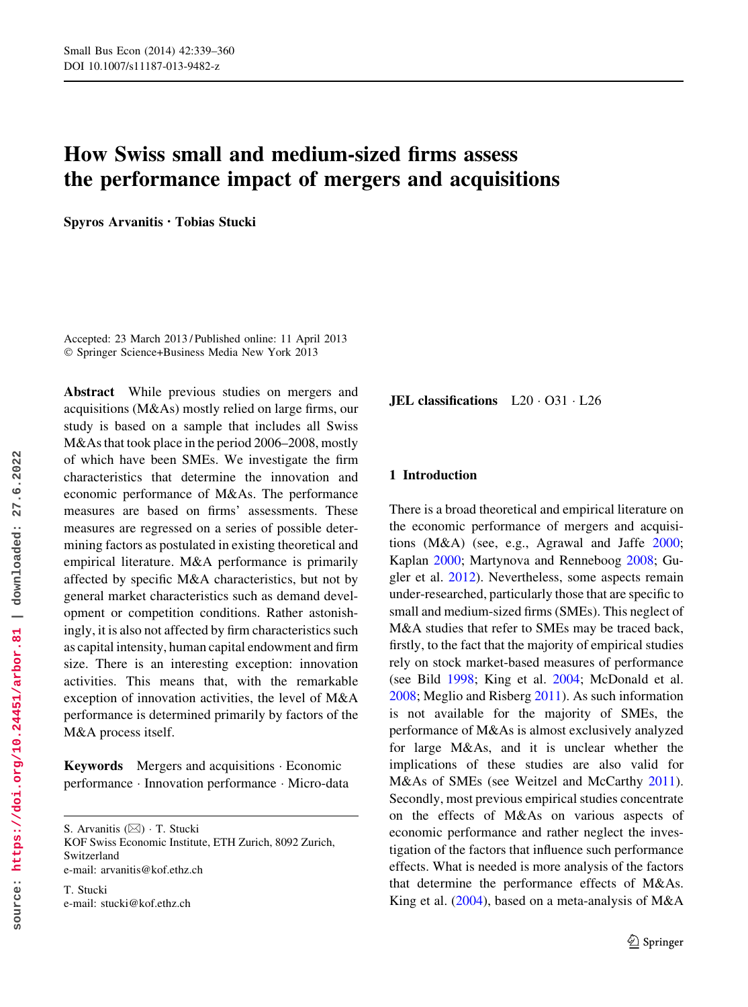# How Swiss small and medium-sized firms assess the performance impact of mergers and acquisitions

Spyros Arvanitis • Tobias Stucki

Accepted: 23 March 2013 / Published online: 11 April 2013 © Springer Science+Business Media New York 2013

Abstract While previous studies on mergers and acquisitions (M&As) mostly relied on large firms, our study is based on a sample that includes all Swiss M&As that took place in the period 2006–2008, mostly of which have been SMEs. We investigate the firm characteristics that determine the innovation and economic performance of M&As. The performance measures are based on firms' assessments. These measures are regressed on a series of possible determining factors as postulated in existing theoretical and empirical literature. M&A performance is primarily affected by specific M&A characteristics, but not by general market characteristics such as demand development or competition conditions. Rather astonishingly, it is also not affected by firm characteristics such as capital intensity, human capital endowment and firm size. There is an interesting exception: innovation activities. This means that, with the remarkable exception of innovation activities, the level of M&A performance is determined primarily by factors of the M&A process itself.

Keywords Mergers and acquisitions - Economic performance - Innovation performance - Micro-data

S. Arvanitis (&) - T. Stucki KOF Swiss Economic Institute, ETH Zurich, 8092 Zurich, Switzerland e-mail: arvanitis@kof.ethz.ch

T. Stucki e-mail: stucki@kof.ethz.ch **JEL classifications**  $L20 \cdot 031 \cdot L26$ 

# 1 Introduction

There is a broad theoretical and empirical literature on the economic performance of mergers and acquisitions (M&A) (see, e.g., Agrawal and Jaffe 2000; Kaplan 2000; Martynova and Renneboog 2008; Gugler et al. 2012). Nevertheless, some aspects remain under-researched, particularly those that are specific to small and medium-sized firms (SMEs). This neglect of M&A studies that refer to SMEs may be traced back, firstly, to the fact that the majority of empirical studies rely on stock market-based measures of performance (see Bild 1998; King et al. 2004; McDonald et al. 2008; Meglio and Risberg 2011). As such information is not available for the majority of SMEs, the performance of M&As is almost exclusively analyzed for large M&As, and it is unclear whether the implications of these studies are also valid for M&As of SMEs (see Weitzel and McCarthy 2011). Secondly, most previous empirical studies concentrate on the effects of M&As on various aspects of economic performance and rather neglect the investigation of the factors that influence such performance effects. What is needed is more analysis of the factors that determine the performance effects of M&As. King et al. (2004), based on a meta-analysis of M&A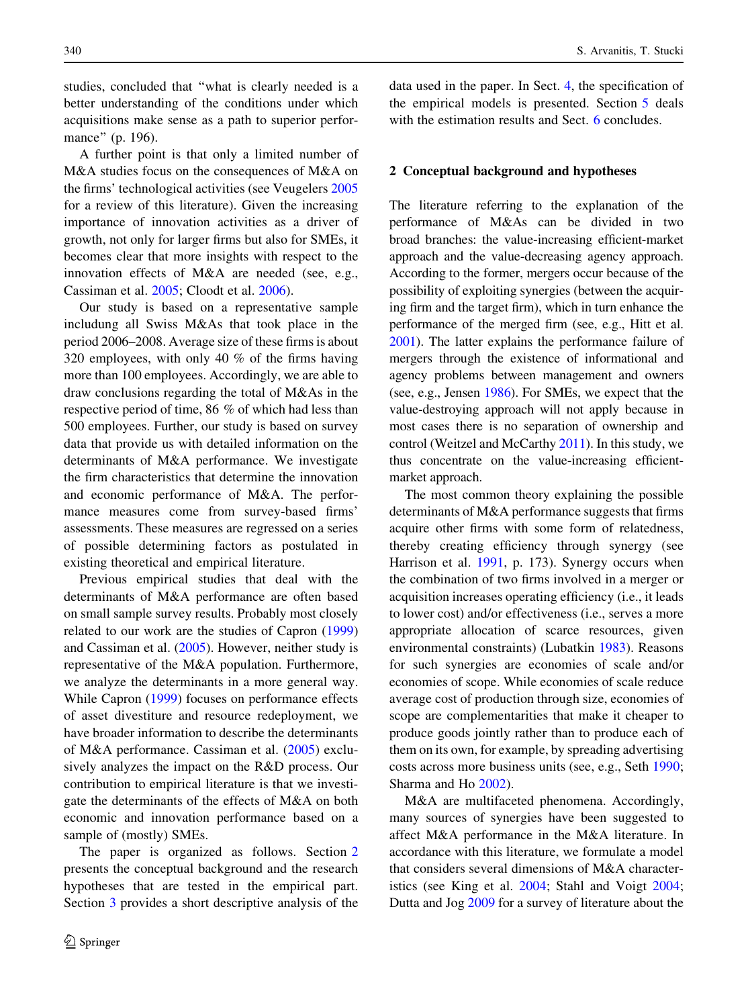studies, concluded that ''what is clearly needed is a better understanding of the conditions under which acquisitions make sense as a path to superior performance'' (p. 196).

A further point is that only a limited number of M&A studies focus on the consequences of M&A on the firms' technological activities (see Veugelers 2005 for a review of this literature). Given the increasing importance of innovation activities as a driver of growth, not only for larger firms but also for SMEs, it becomes clear that more insights with respect to the innovation effects of M&A are needed (see, e.g., Cassiman et al. 2005; Cloodt et al. 2006).

Our study is based on a representative sample includung all Swiss M&As that took place in the period 2006–2008. Average size of these firms is about 320 employees, with only 40 % of the firms having more than 100 employees. Accordingly, we are able to draw conclusions regarding the total of M&As in the respective period of time, 86 % of which had less than 500 employees. Further, our study is based on survey data that provide us with detailed information on the determinants of M&A performance. We investigate the firm characteristics that determine the innovation and economic performance of M&A. The performance measures come from survey-based firms' assessments. These measures are regressed on a series of possible determining factors as postulated in existing theoretical and empirical literature.

Previous empirical studies that deal with the determinants of M&A performance are often based on small sample survey results. Probably most closely related to our work are the studies of Capron (1999) and Cassiman et al. (2005). However, neither study is representative of the M&A population. Furthermore, we analyze the determinants in a more general way. While Capron (1999) focuses on performance effects of asset divestiture and resource redeployment, we have broader information to describe the determinants of M&A performance. Cassiman et al. (2005) exclusively analyzes the impact on the R&D process. Our contribution to empirical literature is that we investigate the determinants of the effects of M&A on both economic and innovation performance based on a sample of (mostly) SMEs.

The paper is organized as follows. Section 2 presents the conceptual background and the research hypotheses that are tested in the empirical part. Section 3 provides a short descriptive analysis of the data used in the paper. In Sect. 4, the specification of the empirical models is presented. Section 5 deals with the estimation results and Sect. 6 concludes.

#### 2 Conceptual background and hypotheses

The literature referring to the explanation of the performance of M&As can be divided in two broad branches: the value-increasing efficient-market approach and the value-decreasing agency approach. According to the former, mergers occur because of the possibility of exploiting synergies (between the acquiring firm and the target firm), which in turn enhance the performance of the merged firm (see, e.g., Hitt et al. 2001). The latter explains the performance failure of mergers through the existence of informational and agency problems between management and owners (see, e.g., Jensen 1986). For SMEs, we expect that the value-destroying approach will not apply because in most cases there is no separation of ownership and control (Weitzel and McCarthy 2011). In this study, we thus concentrate on the value-increasing efficientmarket approach.

The most common theory explaining the possible determinants of M&A performance suggests that firms acquire other firms with some form of relatedness, thereby creating efficiency through synergy (see Harrison et al. 1991, p. 173). Synergy occurs when the combination of two firms involved in a merger or acquisition increases operating efficiency (i.e., it leads to lower cost) and/or effectiveness (i.e., serves a more appropriate allocation of scarce resources, given environmental constraints) (Lubatkin 1983). Reasons for such synergies are economies of scale and/or economies of scope. While economies of scale reduce average cost of production through size, economies of scope are complementarities that make it cheaper to produce goods jointly rather than to produce each of them on its own, for example, by spreading advertising costs across more business units (see, e.g., Seth 1990; Sharma and Ho 2002).

M&A are multifaceted phenomena. Accordingly, many sources of synergies have been suggested to affect M&A performance in the M&A literature. In accordance with this literature, we formulate a model that considers several dimensions of M&A characteristics (see King et al. 2004; Stahl and Voigt 2004; Dutta and Jog 2009 for a survey of literature about the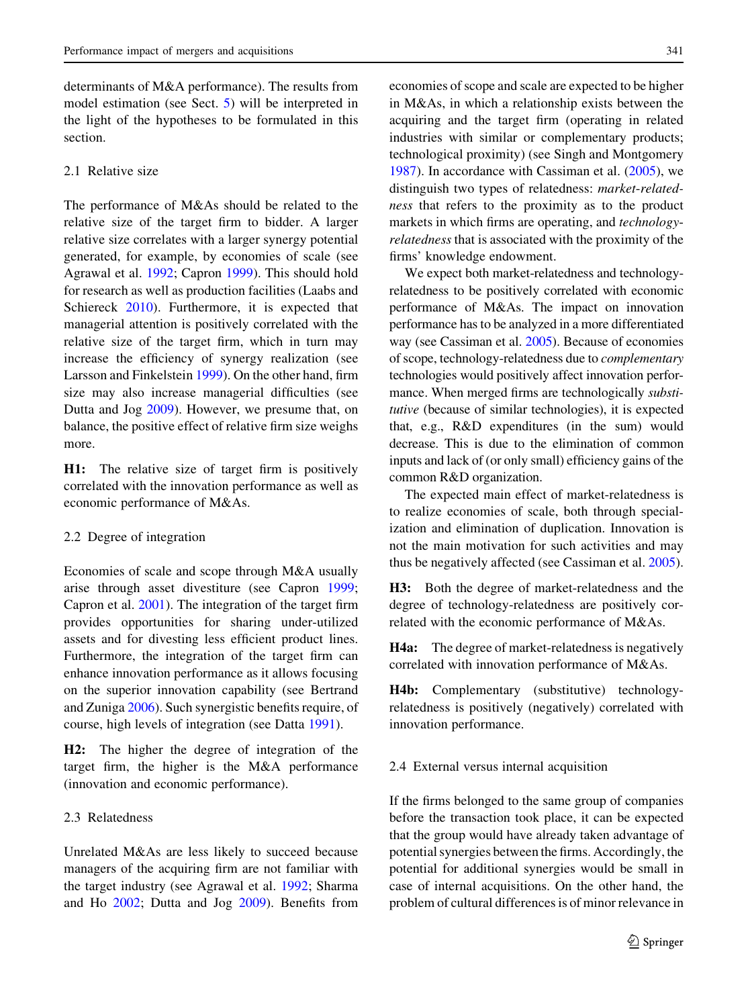determinants of M&A performance). The results from model estimation (see Sect. 5) will be interpreted in the light of the hypotheses to be formulated in this section.

#### 2.1 Relative size

The performance of M&As should be related to the relative size of the target firm to bidder. A larger relative size correlates with a larger synergy potential generated, for example, by economies of scale (see Agrawal et al. 1992; Capron 1999). This should hold for research as well as production facilities (Laabs and Schiereck 2010). Furthermore, it is expected that managerial attention is positively correlated with the relative size of the target firm, which in turn may increase the efficiency of synergy realization (see Larsson and Finkelstein 1999). On the other hand, firm size may also increase managerial difficulties (see Dutta and Jog 2009). However, we presume that, on balance, the positive effect of relative firm size weighs more.

H1: The relative size of target firm is positively correlated with the innovation performance as well as economic performance of M&As.

#### 2.2 Degree of integration

Economies of scale and scope through M&A usually arise through asset divestiture (see Capron 1999; Capron et al. 2001). The integration of the target firm provides opportunities for sharing under-utilized assets and for divesting less efficient product lines. Furthermore, the integration of the target firm can enhance innovation performance as it allows focusing on the superior innovation capability (see Bertrand and Zuniga 2006). Such synergistic benefits require, of course, high levels of integration (see Datta 1991).

H2: The higher the degree of integration of the target firm, the higher is the M&A performance (innovation and economic performance).

## 2.3 Relatedness

Unrelated M&As are less likely to succeed because managers of the acquiring firm are not familiar with the target industry (see Agrawal et al. 1992; Sharma and Ho 2002; Dutta and Jog 2009). Benefits from economies of scope and scale are expected to be higher in M&As, in which a relationship exists between the acquiring and the target firm (operating in related industries with similar or complementary products; technological proximity) (see Singh and Montgomery 1987). In accordance with Cassiman et al. (2005), we distinguish two types of relatedness: market-relatedness that refers to the proximity as to the product markets in which firms are operating, and technologyrelatedness that is associated with the proximity of the firms' knowledge endowment.

We expect both market-relatedness and technologyrelatedness to be positively correlated with economic performance of M&As. The impact on innovation performance has to be analyzed in a more differentiated way (see Cassiman et al. 2005). Because of economies of scope, technology-relatedness due to complementary technologies would positively affect innovation performance. When merged firms are technologically *substi*tutive (because of similar technologies), it is expected that, e.g., R&D expenditures (in the sum) would decrease. This is due to the elimination of common inputs and lack of (or only small) efficiency gains of the common R&D organization.

The expected main effect of market-relatedness is to realize economies of scale, both through specialization and elimination of duplication. Innovation is not the main motivation for such activities and may thus be negatively affected (see Cassiman et al. 2005).

H3: Both the degree of market-relatedness and the degree of technology-relatedness are positively correlated with the economic performance of M&As.

H4a: The degree of market-relatedness is negatively correlated with innovation performance of M&As.

H4b: Complementary (substitutive) technologyrelatedness is positively (negatively) correlated with innovation performance.

#### 2.4 External versus internal acquisition

If the firms belonged to the same group of companies before the transaction took place, it can be expected that the group would have already taken advantage of potential synergies between the firms. Accordingly, the potential for additional synergies would be small in case of internal acquisitions. On the other hand, the problem of cultural differences is of minor relevance in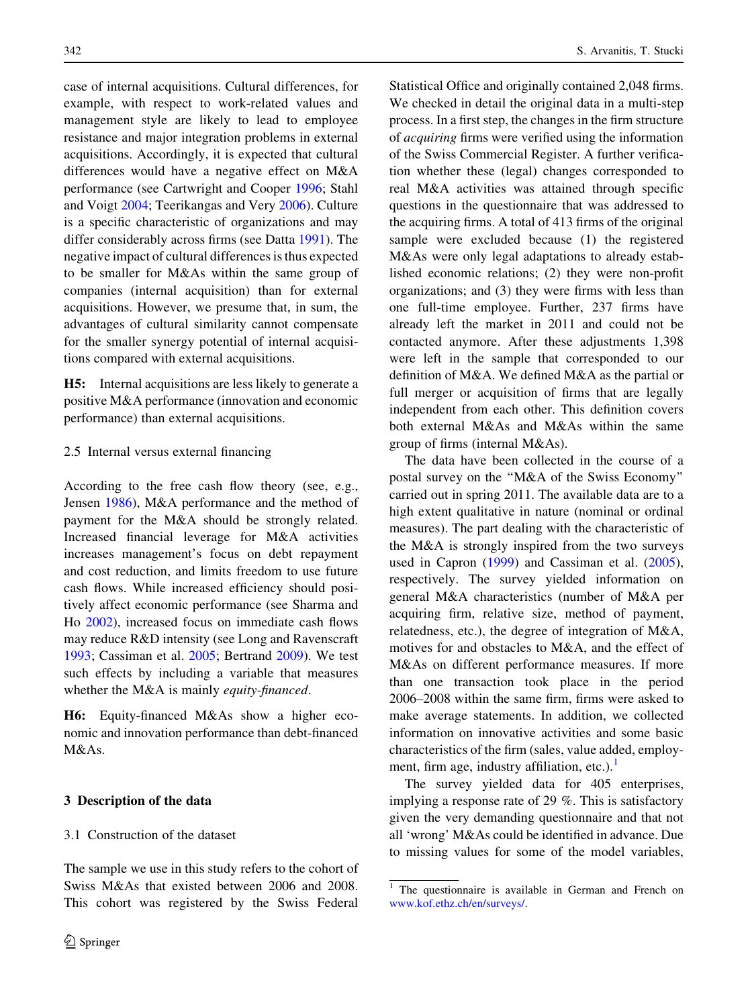case of internal acquisitions. Cultural differences, for example, with respect to work-related values and management style are likely to lead to employee resistance and major integration problems in external acquisitions. Accordingly, it is expected that cultural differences would have a negative effect on M&A performance (see Cartwright and Cooper 1996; Stahl and Voigt 2004; Teerikangas and Very 2006). Culture is a specific characteristic of organizations and may differ considerably across firms (see Datta 1991). The negative impact of cultural differences is thus expected to be smaller for M&As within the same group of companies (internal acquisition) than for external acquisitions. However, we presume that, in sum, the advantages of cultural similarity cannot compensate for the smaller synergy potential of internal acquisitions compared with external acquisitions.

H5: Internal acquisitions are less likely to generate a positive M&A performance (innovation and economic performance) than external acquisitions.

#### 2.5 Internal versus external financing

According to the free cash flow theory (see, e.g., Jensen 1986), M&A performance and the method of payment for the M&A should be strongly related. Increased financial leverage for M&A activities increases management's focus on debt repayment and cost reduction, and limits freedom to use future cash flows. While increased efficiency should positively affect economic performance (see Sharma and Ho 2002), increased focus on immediate cash flows may reduce R&D intensity (see Long and Ravenscraft 1993; Cassiman et al. 2005; Bertrand 2009). We test such effects by including a variable that measures whether the M&A is mainly *equity-financed*.

H6: Equity-financed M&As show a higher economic and innovation performance than debt-financed  $M\&$  As.

## 3 Description of the data

## 3.1 Construction of the dataset

The sample we use in this study refers to the cohort of Swiss M&As that existed between 2006 and 2008. This cohort was registered by the Swiss Federal

Statistical Office and originally contained 2,048 firms. We checked in detail the original data in a multi-step process. In a first step, the changes in the firm structure of acquiring firms were verified using the information of the Swiss Commercial Register. A further verification whether these (legal) changes corresponded to real M&A activities was attained through specific questions in the questionnaire that was addressed to the acquiring firms. A total of 413 firms of the original sample were excluded because (1) the registered M&As were only legal adaptations to already established economic relations; (2) they were non-profit organizations; and (3) they were firms with less than one full-time employee. Further, 237 firms have already left the market in 2011 and could not be contacted anymore. After these adjustments 1,398 were left in the sample that corresponded to our definition of M&A. We defined M&A as the partial or full merger or acquisition of firms that are legally independent from each other. This definition covers both external M&As and M&As within the same group of firms (internal M&As).

The data have been collected in the course of a postal survey on the ''M&A of the Swiss Economy'' carried out in spring 2011. The available data are to a high extent qualitative in nature (nominal or ordinal measures). The part dealing with the characteristic of the M&A is strongly inspired from the two surveys used in Capron (1999) and Cassiman et al. (2005), respectively. The survey yielded information on general M&A characteristics (number of M&A per acquiring firm, relative size, method of payment, relatedness, etc.), the degree of integration of M&A, motives for and obstacles to M&A, and the effect of M&As on different performance measures. If more than one transaction took place in the period 2006–2008 within the same firm, firms were asked to make average statements. In addition, we collected information on innovative activities and some basic characteristics of the firm (sales, value added, employment, firm age, industry affiliation, etc.). $\frac{1}{1}$ 

The survey yielded data for 405 enterprises, implying a response rate of 29 %. This is satisfactory given the very demanding questionnaire and that not all 'wrong' M&As could be identified in advance. Due to missing values for some of the model variables,

<sup>&</sup>lt;sup>1</sup> The questionnaire is available in German and French on [www.kof.ethz.ch/en/surveys/](http://www.kof.ethz.ch/en/surveys/).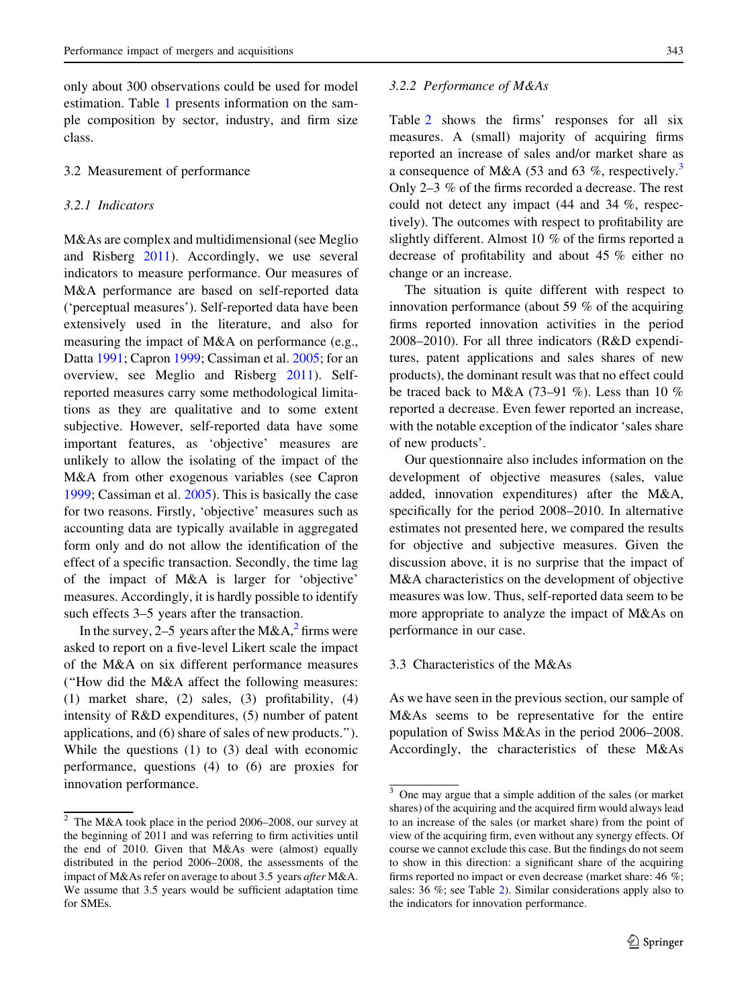only about 300 observations could be used for model estimation. Table 1 presents information on the sample composition by sector, industry, and firm size class.

## 3.2 Measurement of performance

## 3.2.1 Indicators

M&As are complex and multidimensional (see Meglio and Risberg 2011). Accordingly, we use several indicators to measure performance. Our measures of M&A performance are based on self-reported data ('perceptual measures'). Self-reported data have been extensively used in the literature, and also for measuring the impact of M&A on performance (e.g., Datta 1991; Capron 1999; Cassiman et al. 2005; for an overview, see Meglio and Risberg 2011). Selfreported measures carry some methodological limitations as they are qualitative and to some extent subjective. However, self-reported data have some important features, as 'objective' measures are unlikely to allow the isolating of the impact of the M&A from other exogenous variables (see Capron 1999; Cassiman et al. 2005). This is basically the case for two reasons. Firstly, 'objective' measures such as accounting data are typically available in aggregated form only and do not allow the identification of the effect of a specific transaction. Secondly, the time lag of the impact of M&A is larger for 'objective' measures. Accordingly, it is hardly possible to identify such effects 3–5 years after the transaction.

In the survey, 2–5 years after the M&A,<sup>2</sup> firms were asked to report on a five-level Likert scale the impact of the M&A on six different performance measures (''How did the M&A affect the following measures: (1) market share, (2) sales, (3) profitability, (4) intensity of R&D expenditures, (5) number of patent applications, and (6) share of sales of new products.''). While the questions (1) to (3) deal with economic performance, questions (4) to (6) are proxies for innovation performance.

#### 3.2.2 Performance of M&As

Table 2 shows the firms' responses for all six measures. A (small) majority of acquiring firms reported an increase of sales and/or market share as a consequence of M&A (53 and 63 %, respectively.<sup>3</sup> Only 2–3 % of the firms recorded a decrease. The rest could not detect any impact (44 and 34 %, respectively). The outcomes with respect to profitability are slightly different. Almost 10 % of the firms reported a decrease of profitability and about 45 % either no change or an increase.

The situation is quite different with respect to innovation performance (about 59 % of the acquiring firms reported innovation activities in the period 2008–2010). For all three indicators (R&D expenditures, patent applications and sales shares of new products), the dominant result was that no effect could be traced back to M&A (73–91 %). Less than 10 % reported a decrease. Even fewer reported an increase, with the notable exception of the indicator 'sales share of new products'.

Our questionnaire also includes information on the development of objective measures (sales, value added, innovation expenditures) after the M&A, specifically for the period 2008–2010. In alternative estimates not presented here, we compared the results for objective and subjective measures. Given the discussion above, it is no surprise that the impact of M&A characteristics on the development of objective measures was low. Thus, self-reported data seem to be more appropriate to analyze the impact of M&As on performance in our case.

## 3.3 Characteristics of the M&As

As we have seen in the previous section, our sample of M&As seems to be representative for the entire population of Swiss M&As in the period 2006–2008. Accordingly, the characteristics of these M&As

<sup>2</sup> The M&A took place in the period 2006–2008, our survey at the beginning of 2011 and was referring to firm activities until the end of 2010. Given that M&As were (almost) equally distributed in the period 2006–2008, the assessments of the impact of M&As refer on average to about 3.5 years after M&A. We assume that 3.5 years would be sufficient adaptation time for SMEs.

<sup>3</sup> One may argue that a simple addition of the sales (or market shares) of the acquiring and the acquired firm would always lead to an increase of the sales (or market share) from the point of view of the acquiring firm, even without any synergy effects. Of course we cannot exclude this case. But the findings do not seem to show in this direction: a significant share of the acquiring firms reported no impact or even decrease (market share: 46 %; sales: 36 %; see Table 2). Similar considerations apply also to the indicators for innovation performance.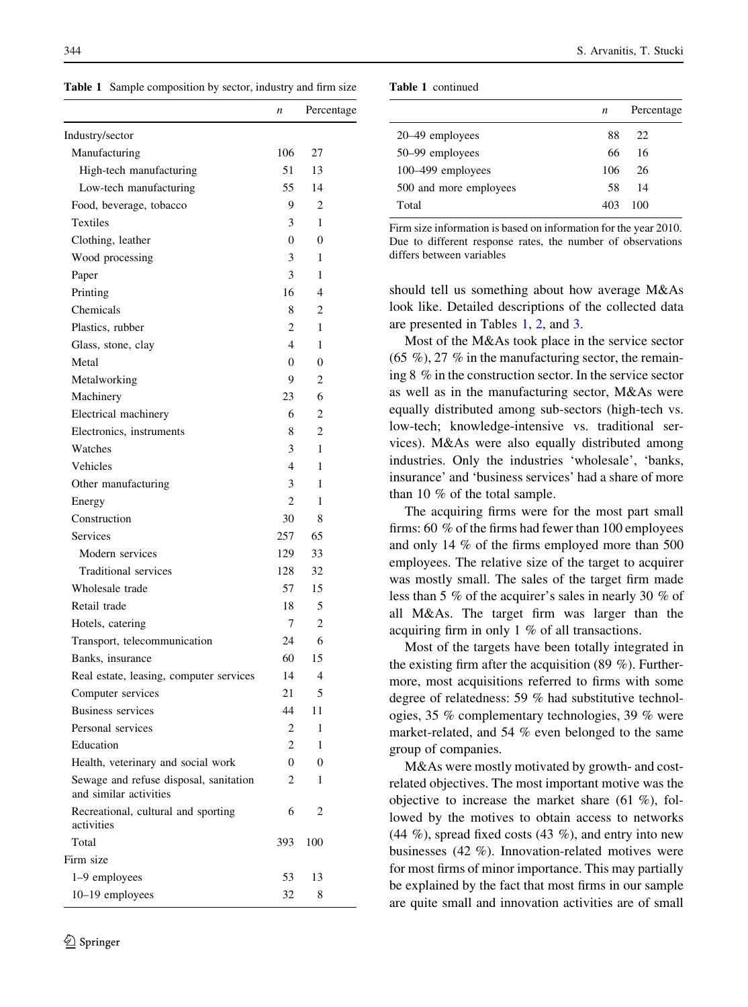Table 1 Sample composition by sector, industry and firm size

|                                                                  | n              | Percentage     |
|------------------------------------------------------------------|----------------|----------------|
| Industry/sector                                                  |                |                |
| Manufacturing                                                    | 106            | 27             |
| High-tech manufacturing                                          | 51             | 13             |
| Low-tech manufacturing                                           | 55             | 14             |
| Food, beverage, tobacco                                          | 9              | $\overline{c}$ |
| Textiles                                                         | 3              | 1              |
| Clothing, leather                                                | $\overline{0}$ | $\theta$       |
| Wood processing                                                  | 3              | 1              |
| Paper                                                            | 3              | 1              |
| Printing                                                         | 16             | 4              |
| Chemicals                                                        | 8              | $\overline{c}$ |
| Plastics, rubber                                                 | 2              | 1              |
| Glass, stone, clay                                               | 4              | 1              |
| Metal                                                            | 0              | $\theta$       |
| Metalworking                                                     | 9              | $\overline{c}$ |
| Machinery                                                        | 23             | 6              |
| Electrical machinery                                             | 6              | $\overline{2}$ |
|                                                                  |                | $\overline{2}$ |
| Electronics, instruments                                         | 8              |                |
| Watches                                                          | 3              | 1              |
| Vehicles                                                         | 4              | 1              |
| Other manufacturing                                              | 3              | 1              |
| Energy                                                           | $\overline{c}$ | 1              |
| Construction                                                     | 30             | 8              |
| Services                                                         | 257            | 65             |
| Modern services                                                  | 129            | 33             |
| Traditional services                                             | 128            | 32             |
| Wholesale trade                                                  | 57             | 15             |
| Retail trade                                                     | 18             | 5              |
| Hotels, catering                                                 | 7              | 2              |
| Transport, telecommunication                                     | 24             | 6              |
| Banks, insurance                                                 | 60             | 15             |
| Real estate, leasing, computer services                          | 14             | 4              |
| Computer services                                                | 21             | 5              |
| <b>Business services</b>                                         | 44             | 11             |
| Personal services                                                | 2              | 1              |
| Education                                                        | 2              | 1              |
| Health, veterinary and social work                               | 0              | 0              |
| Sewage and refuse disposal, sanitation<br>and similar activities | 2              | 1              |
| Recreational, cultural and sporting<br>activities                | 6              | 2              |
| Total                                                            | 393            | 100            |
| Firm size                                                        |                |                |
| 1–9 employees                                                    | 53             | 13             |
| 10–19 employees                                                  | 32             | 8              |
|                                                                  |                |                |

| <b>Table 1</b> continued |
|--------------------------|
|                          |

|                        | $\boldsymbol{n}$ | Percentage |
|------------------------|------------------|------------|
| 20–49 employees        | 88               | 22         |
| 50–99 employees        | 66               | 16         |
| 100–499 employees      | 106              | 26         |
| 500 and more employees | 58               | 14         |
| Total                  | 403              | 100        |
|                        |                  |            |

Firm size information is based on information for the year 2010. Due to different response rates, the number of observations differs between variables

should tell us something about how average M&As look like. Detailed descriptions of the collected data are presented in Tables 1, 2, and 3.

Most of the M&As took place in the service sector  $(65 \%)$ , 27 % in the manufacturing sector, the remaining 8 % in the construction sector. In the service sector as well as in the manufacturing sector, M&As were equally distributed among sub-sectors (high-tech vs. low-tech; knowledge-intensive vs. traditional services). M&As were also equally distributed among industries. Only the industries 'wholesale', 'banks, insurance' and 'business services' had a share of more than 10 % of the total sample.

The acquiring firms were for the most part small firms: 60 % of the firms had fewer than 100 employees and only 14 % of the firms employed more than 500 employees. The relative size of the target to acquirer was mostly small. The sales of the target firm made less than 5 % of the acquirer's sales in nearly 30 % of all M&As. The target firm was larger than the acquiring firm in only 1 % of all transactions.

Most of the targets have been totally integrated in the existing firm after the acquisition (89 %). Furthermore, most acquisitions referred to firms with some degree of relatedness: 59 % had substitutive technologies, 35 % complementary technologies, 39 % were market-related, and 54 % even belonged to the same group of companies.

M&As were mostly motivated by growth- and costrelated objectives. The most important motive was the objective to increase the market share  $(61 \%)$ , followed by the motives to obtain access to networks  $(44 \%)$ , spread fixed costs  $(43 \%)$ , and entry into new businesses (42 %). Innovation-related motives were for most firms of minor importance. This may partially be explained by the fact that most firms in our sample are quite small and innovation activities are of small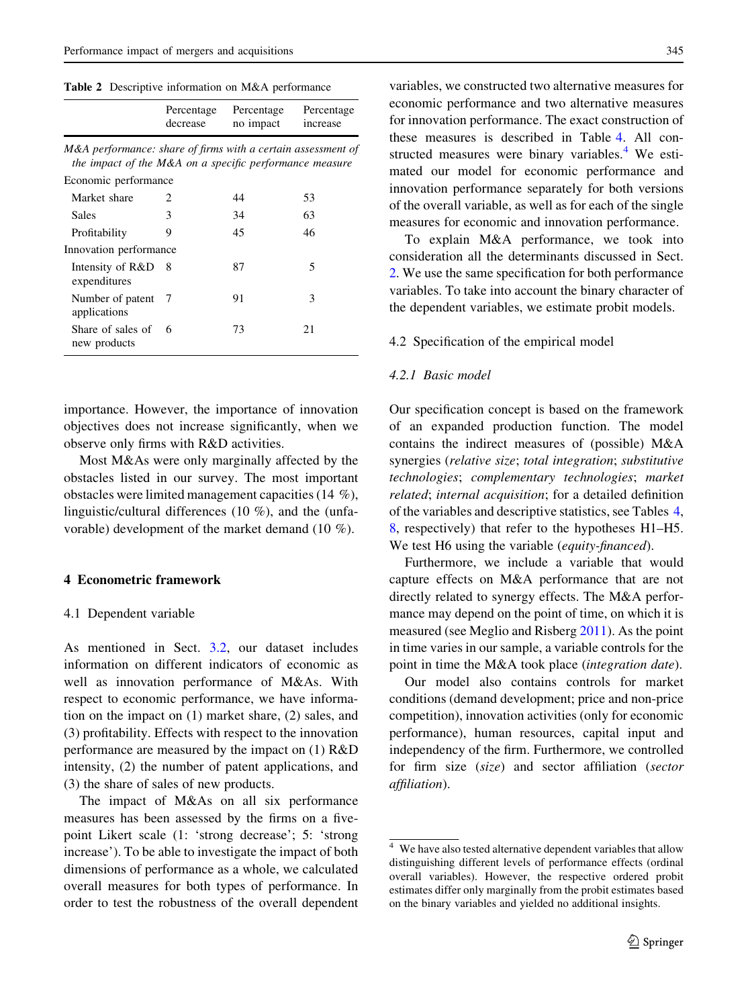Table 2 Descriptive information on M&A performance

|                                                                                                                         | Percentage<br>decrease | Percentage<br>no impact | Percentage<br>increase |
|-------------------------------------------------------------------------------------------------------------------------|------------------------|-------------------------|------------------------|
| M&A performance: share of firms with a certain assessment of<br>the impact of the M&A on a specific performance measure |                        |                         |                        |
| Economic performance                                                                                                    |                        |                         |                        |
| Market share                                                                                                            | $\mathfrak{D}$         | 44                      | 53                     |
| Sales                                                                                                                   | 3                      | 34                      | 63                     |
| Profitability                                                                                                           | 9                      | 45                      | 46                     |
| Innovation performance                                                                                                  |                        |                         |                        |
| Intensity of R&D 8<br>expenditures                                                                                      |                        | 87                      | 5                      |
| Number of patent<br>applications                                                                                        | - 7                    | 91                      | 3                      |
| Share of sales of<br>new products                                                                                       | 6                      | 73                      | 21                     |

importance. However, the importance of innovation objectives does not increase significantly, when we observe only firms with R&D activities.

Most M&As were only marginally affected by the obstacles listed in our survey. The most important obstacles were limited management capacities (14 %), linguistic/cultural differences (10 %), and the (unfavorable) development of the market demand (10 %).

## 4 Econometric framework

#### 4.1 Dependent variable

As mentioned in Sect. 3.2, our dataset includes information on different indicators of economic as well as innovation performance of M&As. With respect to economic performance, we have information on the impact on (1) market share, (2) sales, and (3) profitability. Effects with respect to the innovation performance are measured by the impact on (1) R&D intensity, (2) the number of patent applications, and (3) the share of sales of new products.

The impact of M&As on all six performance measures has been assessed by the firms on a fivepoint Likert scale (1: 'strong decrease'; 5: 'strong increase'). To be able to investigate the impact of both dimensions of performance as a whole, we calculated overall measures for both types of performance. In order to test the robustness of the overall dependent variables, we constructed two alternative measures for economic performance and two alternative measures for innovation performance. The exact construction of these measures is described in Table 4. All constructed measures were binary variables. $4$  We estimated our model for economic performance and innovation performance separately for both versions of the overall variable, as well as for each of the single measures for economic and innovation performance.

To explain M&A performance, we took into consideration all the determinants discussed in Sect. 2. We use the same specification for both performance variables. To take into account the binary character of the dependent variables, we estimate probit models.

#### 4.2 Specification of the empirical model

#### 4.2.1 Basic model

Our specification concept is based on the framework of an expanded production function. The model contains the indirect measures of (possible) M&A synergies (relative size; total integration; substitutive technologies; complementary technologies; market related; internal acquisition; for a detailed definition of the variables and descriptive statistics, see Tables 4, 8, respectively) that refer to the hypotheses H1–H5. We test H6 using the variable (equity-financed).

Furthermore, we include a variable that would capture effects on M&A performance that are not directly related to synergy effects. The M&A performance may depend on the point of time, on which it is measured (see Meglio and Risberg 2011). As the point in time varies in our sample, a variable controls for the point in time the M&A took place (integration date).

Our model also contains controls for market conditions (demand development; price and non-price competition), innovation activities (only for economic performance), human resources, capital input and independency of the firm. Furthermore, we controlled for firm size (size) and sector affiliation (sector affiliation).

<sup>4</sup> We have also tested alternative dependent variables that allow distinguishing different levels of performance effects (ordinal overall variables). However, the respective ordered probit estimates differ only marginally from the probit estimates based on the binary variables and yielded no additional insights.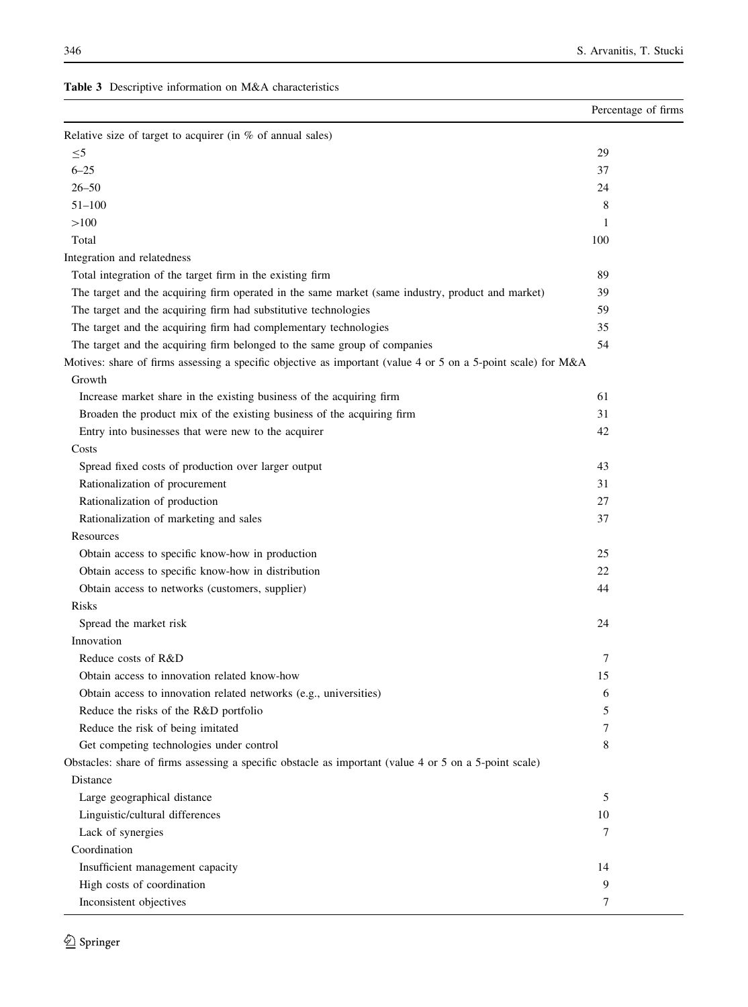Table 3 Descriptive information on M&A characteristics

|                                                                                                               | Percentage of firms |
|---------------------------------------------------------------------------------------------------------------|---------------------|
| Relative size of target to acquirer (in $%$ of annual sales)                                                  |                     |
| $\leq 5$                                                                                                      | 29                  |
| $6 - 25$                                                                                                      | 37                  |
| $26 - 50$                                                                                                     | 24                  |
| $51 - 100$                                                                                                    | 8                   |
| >100                                                                                                          | 1                   |
| Total                                                                                                         | 100                 |
| Integration and relatedness                                                                                   |                     |
| Total integration of the target firm in the existing firm                                                     | 89                  |
| The target and the acquiring firm operated in the same market (same industry, product and market)             | 39                  |
| The target and the acquiring firm had substitutive technologies                                               | 59                  |
| The target and the acquiring firm had complementary technologies                                              | 35                  |
| The target and the acquiring firm belonged to the same group of companies                                     | 54                  |
| Motives: share of firms assessing a specific objective as important (value 4 or 5 on a 5-point scale) for M&A |                     |
| Growth                                                                                                        |                     |
| Increase market share in the existing business of the acquiring firm                                          | 61                  |
| Broaden the product mix of the existing business of the acquiring firm                                        | 31                  |
| Entry into businesses that were new to the acquirer                                                           | 42                  |
| Costs                                                                                                         |                     |
| Spread fixed costs of production over larger output                                                           | 43                  |
| Rationalization of procurement                                                                                | 31                  |
| Rationalization of production                                                                                 | 27                  |
| Rationalization of marketing and sales                                                                        | 37                  |
| Resources                                                                                                     |                     |
| Obtain access to specific know-how in production                                                              | 25                  |
| Obtain access to specific know-how in distribution                                                            | 22                  |
| Obtain access to networks (customers, supplier)                                                               | 44                  |
| Risks                                                                                                         |                     |
| Spread the market risk                                                                                        | 24                  |
| Innovation                                                                                                    |                     |
| Reduce costs of R&D                                                                                           | 7                   |
| Obtain access to innovation related know-how                                                                  | 15                  |
| Obtain access to innovation related networks (e.g., universities)                                             | 6                   |
| Reduce the risks of the R&D portfolio                                                                         | 5                   |
| Reduce the risk of being imitated                                                                             | 7                   |
| Get competing technologies under control                                                                      | 8                   |
| Obstacles: share of firms assessing a specific obstacle as important (value 4 or 5 on a 5-point scale)        |                     |
| Distance                                                                                                      |                     |
| Large geographical distance                                                                                   | 5                   |
| Linguistic/cultural differences                                                                               | 10                  |
| Lack of synergies                                                                                             | 7                   |
| Coordination                                                                                                  |                     |
| Insufficient management capacity                                                                              | 14                  |
| High costs of coordination                                                                                    | 9                   |
| Inconsistent objectives                                                                                       | 7                   |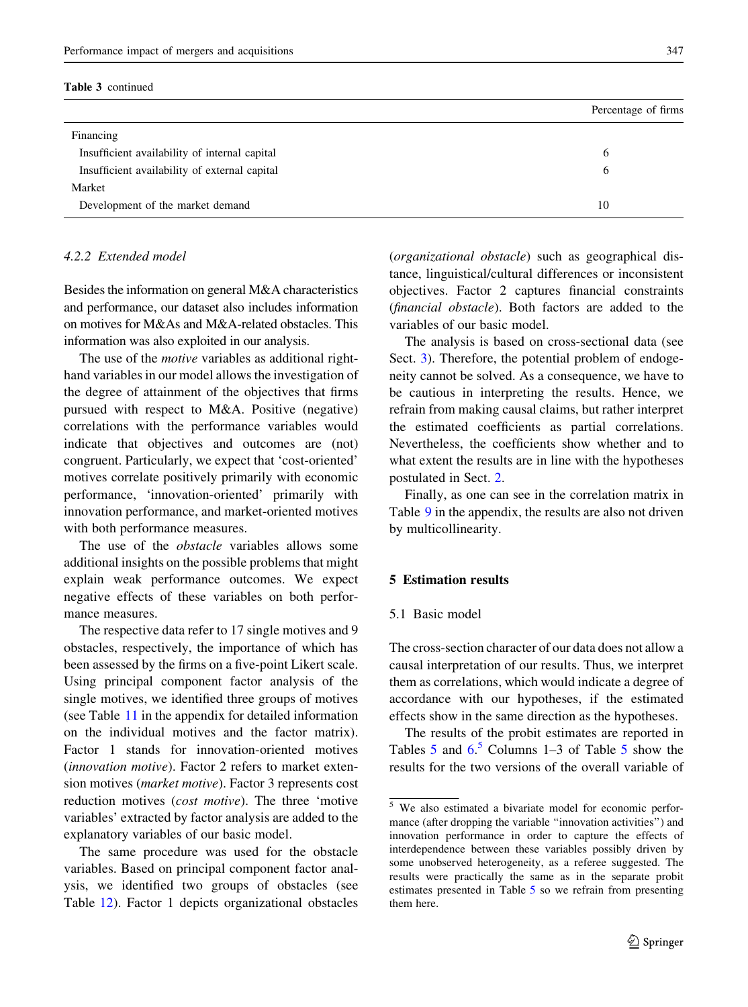#### Table 3 continued

|                                               | Percentage of firms |
|-----------------------------------------------|---------------------|
| Financing                                     |                     |
| Insufficient availability of internal capital | 6                   |
| Insufficient availability of external capital | 6                   |
| Market                                        |                     |
| Development of the market demand              | 10                  |

## 4.2.2 Extended model

Besides the information on general M&A characteristics and performance, our dataset also includes information on motives for M&As and M&A-related obstacles. This information was also exploited in our analysis.

The use of the *motive* variables as additional righthand variables in our model allows the investigation of the degree of attainment of the objectives that firms pursued with respect to M&A. Positive (negative) correlations with the performance variables would indicate that objectives and outcomes are (not) congruent. Particularly, we expect that 'cost-oriented' motives correlate positively primarily with economic performance, 'innovation-oriented' primarily with innovation performance, and market-oriented motives with both performance measures.

The use of the *obstacle* variables allows some additional insights on the possible problems that might explain weak performance outcomes. We expect negative effects of these variables on both performance measures.

The respective data refer to 17 single motives and 9 obstacles, respectively, the importance of which has been assessed by the firms on a five-point Likert scale. Using principal component factor analysis of the single motives, we identified three groups of motives (see Table 11 in the appendix for detailed information on the individual motives and the factor matrix). Factor 1 stands for innovation-oriented motives (innovation motive). Factor 2 refers to market extension motives (market motive). Factor 3 represents cost reduction motives (cost motive). The three 'motive variables' extracted by factor analysis are added to the explanatory variables of our basic model.

The same procedure was used for the obstacle variables. Based on principal component factor analysis, we identified two groups of obstacles (see Table 12). Factor 1 depicts organizational obstacles (organizational obstacle) such as geographical distance, linguistical/cultural differences or inconsistent objectives. Factor 2 captures financial constraints (financial obstacle). Both factors are added to the variables of our basic model.

The analysis is based on cross-sectional data (see Sect. 3). Therefore, the potential problem of endogeneity cannot be solved. As a consequence, we have to be cautious in interpreting the results. Hence, we refrain from making causal claims, but rather interpret the estimated coefficients as partial correlations. Nevertheless, the coefficients show whether and to what extent the results are in line with the hypotheses postulated in Sect. 2.

Finally, as one can see in the correlation matrix in Table 9 in the appendix, the results are also not driven by multicollinearity.

## 5 Estimation results

## 5.1 Basic model

The cross-section character of our data does not allow a causal interpretation of our results. Thus, we interpret them as correlations, which would indicate a degree of accordance with our hypotheses, if the estimated effects show in the same direction as the hypotheses.

The results of the probit estimates are reported in Tables 5 and  $6<sup>5</sup>$  Columns 1–3 of Table 5 show the results for the two versions of the overall variable of

<sup>5</sup> We also estimated a bivariate model for economic performance (after dropping the variable ''innovation activities'') and innovation performance in order to capture the effects of interdependence between these variables possibly driven by some unobserved heterogeneity, as a referee suggested. The results were practically the same as in the separate probit estimates presented in Table 5 so we refrain from presenting them here.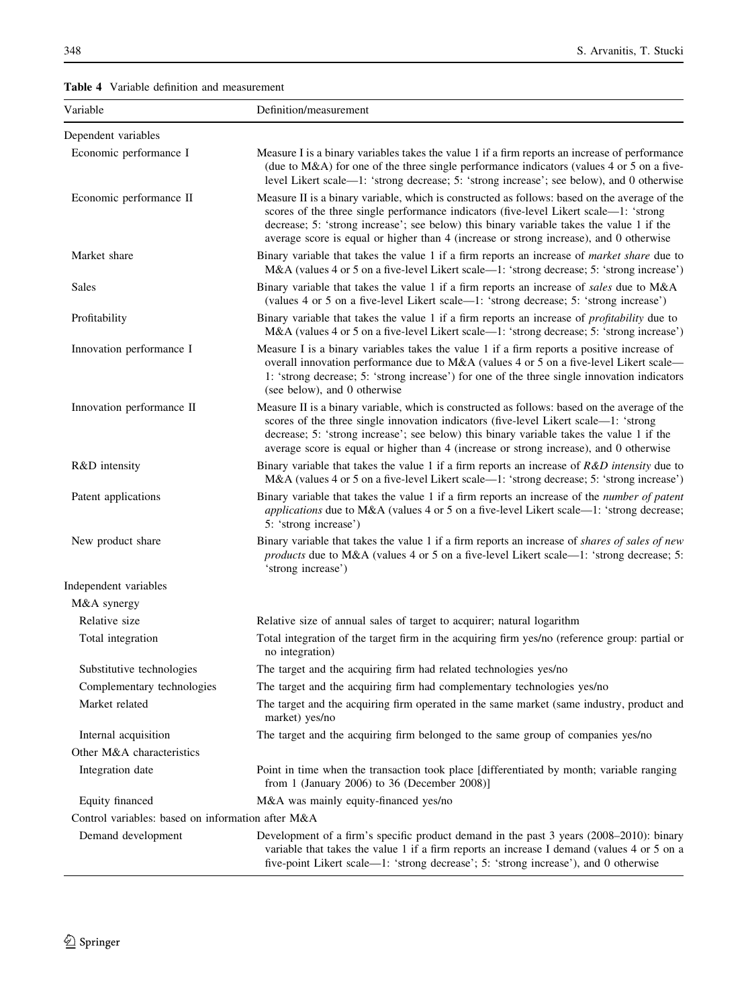Table 4 Variable definition and measurement

| Variable                                          | Definition/measurement                                                                                                                                                                                                                                                                                                                                                       |
|---------------------------------------------------|------------------------------------------------------------------------------------------------------------------------------------------------------------------------------------------------------------------------------------------------------------------------------------------------------------------------------------------------------------------------------|
| Dependent variables                               |                                                                                                                                                                                                                                                                                                                                                                              |
| Economic performance I                            | Measure I is a binary variables takes the value 1 if a firm reports an increase of performance<br>(due to M&A) for one of the three single performance indicators (values 4 or 5 on a five-<br>level Likert scale—1: 'strong decrease; 5: 'strong increase'; see below), and 0 otherwise                                                                                     |
| Economic performance II                           | Measure II is a binary variable, which is constructed as follows: based on the average of the<br>scores of the three single performance indicators (five-level Likert scale—1: 'strong<br>decrease; 5: 'strong increase'; see below) this binary variable takes the value 1 if the<br>average score is equal or higher than 4 (increase or strong increase), and 0 otherwise |
| Market share                                      | Binary variable that takes the value 1 if a firm reports an increase of <i>market share</i> due to<br>M&A (values 4 or 5 on a five-level Likert scale—1: 'strong decrease; 5: 'strong increase')                                                                                                                                                                             |
| Sales                                             | Binary variable that takes the value 1 if a firm reports an increase of sales due to M&A<br>(values 4 or 5 on a five-level Likert scale—1: 'strong decrease; 5: 'strong increase')                                                                                                                                                                                           |
| Profitability                                     | Binary variable that takes the value 1 if a firm reports an increase of <i>profitability</i> due to<br>M&A (values 4 or 5 on a five-level Likert scale—1: 'strong decrease; 5: 'strong increase')                                                                                                                                                                            |
| Innovation performance I                          | Measure I is a binary variables takes the value 1 if a firm reports a positive increase of<br>overall innovation performance due to M&A (values 4 or 5 on a five-level Likert scale—<br>1: 'strong decrease; 5: 'strong increase') for one of the three single innovation indicators<br>(see below), and 0 otherwise                                                         |
| Innovation performance II                         | Measure II is a binary variable, which is constructed as follows: based on the average of the<br>scores of the three single innovation indicators (five-level Likert scale-1: 'strong<br>decrease; 5: 'strong increase'; see below) this binary variable takes the value 1 if the<br>average score is equal or higher than 4 (increase or strong increase), and 0 otherwise  |
| R&D intensity                                     | Binary variable that takes the value 1 if a firm reports an increase of $R&D$ intensity due to<br>M&A (values 4 or 5 on a five-level Likert scale—1: 'strong decrease; 5: 'strong increase')                                                                                                                                                                                 |
| Patent applications                               | Binary variable that takes the value 1 if a firm reports an increase of the <i>number of patent</i><br><i>applications</i> due to M&A (values 4 or 5 on a five-level Likert scale—1: 'strong decrease;<br>5: 'strong increase')                                                                                                                                              |
| New product share                                 | Binary variable that takes the value 1 if a firm reports an increase of <i>shares of sales of new</i><br>products due to M&A (values 4 or 5 on a five-level Likert scale—1: 'strong decrease; 5:<br>'strong increase')                                                                                                                                                       |
| Independent variables                             |                                                                                                                                                                                                                                                                                                                                                                              |
| M&A synergy                                       |                                                                                                                                                                                                                                                                                                                                                                              |
| Relative size                                     | Relative size of annual sales of target to acquirer; natural logarithm                                                                                                                                                                                                                                                                                                       |
| Total integration                                 | Total integration of the target firm in the acquiring firm yes/no (reference group: partial or<br>no integration)                                                                                                                                                                                                                                                            |
| Substitutive technologies                         | The target and the acquiring firm had related technologies yes/no                                                                                                                                                                                                                                                                                                            |
| Complementary technologies                        | The target and the acquiring firm had complementary technologies yes/no                                                                                                                                                                                                                                                                                                      |
| Market related                                    | The target and the acquiring firm operated in the same market (same industry, product and<br>market) yes/no                                                                                                                                                                                                                                                                  |
| Internal acquisition                              | The target and the acquiring firm belonged to the same group of companies yes/no                                                                                                                                                                                                                                                                                             |
| Other M&A characteristics                         |                                                                                                                                                                                                                                                                                                                                                                              |
| Integration date                                  | Point in time when the transaction took place [differentiated by month; variable ranging<br>from 1 (January 2006) to 36 (December 2008)]                                                                                                                                                                                                                                     |
| Equity financed                                   | M&A was mainly equity-financed yes/no                                                                                                                                                                                                                                                                                                                                        |
| Control variables: based on information after M&A |                                                                                                                                                                                                                                                                                                                                                                              |
| Demand development                                | Development of a firm's specific product demand in the past 3 years (2008–2010): binary<br>variable that takes the value 1 if a firm reports an increase I demand (values 4 or 5 on a<br>five-point Likert scale—1: 'strong decrease'; 5: 'strong increase'), and 0 otherwise                                                                                                |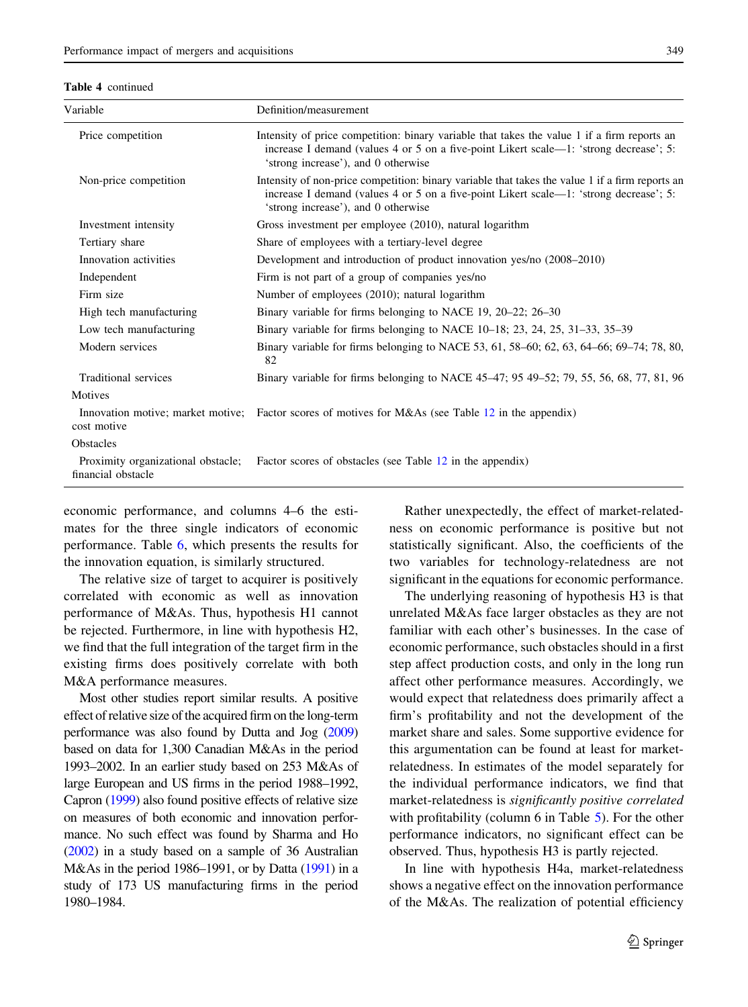| <b>Table 4</b> continued |
|--------------------------|
|                          |

| Variable                                                 | Definition/measurement                                                                                                                                                                                                           |
|----------------------------------------------------------|----------------------------------------------------------------------------------------------------------------------------------------------------------------------------------------------------------------------------------|
| Price competition                                        | Intensity of price competition: binary variable that takes the value 1 if a firm reports an<br>increase I demand (values 4 or 5 on a five-point Likert scale—1: 'strong decrease'; 5:<br>'strong increase'), and 0 otherwise     |
| Non-price competition                                    | Intensity of non-price competition: binary variable that takes the value 1 if a firm reports an<br>increase I demand (values 4 or 5 on a five-point Likert scale—1: 'strong decrease'; 5:<br>'strong increase'), and 0 otherwise |
| Investment intensity                                     | Gross investment per employee (2010), natural logarithm                                                                                                                                                                          |
| Tertiary share                                           | Share of employees with a tertiary-level degree                                                                                                                                                                                  |
| Innovation activities                                    | Development and introduction of product innovation yes/no (2008–2010)                                                                                                                                                            |
| Independent                                              | Firm is not part of a group of companies yes/no                                                                                                                                                                                  |
| Firm size                                                | Number of employees (2010); natural logarithm                                                                                                                                                                                    |
| High tech manufacturing                                  | Binary variable for firms belonging to NACE 19, 20–22; 26–30                                                                                                                                                                     |
| Low tech manufacturing                                   | Binary variable for firms belonging to NACE $10-18$ ; 23, 24, 25, 31-33, 35-39                                                                                                                                                   |
| Modern services                                          | Binary variable for firms belonging to NACE 53, 61, 58–60; 62, 63, 64–66; 69–74; 78, 80,<br>82                                                                                                                                   |
| Traditional services                                     | Binary variable for firms belonging to NACE 45–47; 95 49–52; 79, 55, 56, 68, 77, 81, 96                                                                                                                                          |
| Motives                                                  |                                                                                                                                                                                                                                  |
| cost motive                                              | Innovation motive; market motive; Factor scores of motives for M&As (see Table 12 in the appendix)                                                                                                                               |
| <b>Obstacles</b>                                         |                                                                                                                                                                                                                                  |
| Proximity organizational obstacle;<br>financial obstacle | Factor scores of obstacles (see Table 12 in the appendix)                                                                                                                                                                        |

economic performance, and columns 4–6 the estimates for the three single indicators of economic performance. Table 6, which presents the results for the innovation equation, is similarly structured.

The relative size of target to acquirer is positively correlated with economic as well as innovation performance of M&As. Thus, hypothesis H1 cannot be rejected. Furthermore, in line with hypothesis H2, we find that the full integration of the target firm in the existing firms does positively correlate with both M&A performance measures.

Most other studies report similar results. A positive effect of relative size of the acquired firm on the long-term performance was also found by Dutta and Jog (2009) based on data for 1,300 Canadian M&As in the period 1993–2002. In an earlier study based on 253 M&As of large European and US firms in the period 1988–1992, Capron (1999) also found positive effects of relative size on measures of both economic and innovation performance. No such effect was found by Sharma and Ho (2002) in a study based on a sample of 36 Australian M&As in the period 1986–1991, or by Datta (1991) in a study of 173 US manufacturing firms in the period 1980–1984.

Rather unexpectedly, the effect of market-relatedness on economic performance is positive but not statistically significant. Also, the coefficients of the two variables for technology-relatedness are not significant in the equations for economic performance.

The underlying reasoning of hypothesis H3 is that unrelated M&As face larger obstacles as they are not familiar with each other's businesses. In the case of economic performance, such obstacles should in a first step affect production costs, and only in the long run affect other performance measures. Accordingly, we would expect that relatedness does primarily affect a firm's profitability and not the development of the market share and sales. Some supportive evidence for this argumentation can be found at least for marketrelatedness. In estimates of the model separately for the individual performance indicators, we find that market-relatedness is significantly positive correlated with profitability (column 6 in Table 5). For the other performance indicators, no significant effect can be observed. Thus, hypothesis H3 is partly rejected.

In line with hypothesis H4a, market-relatedness shows a negative effect on the innovation performance of the M&As. The realization of potential efficiency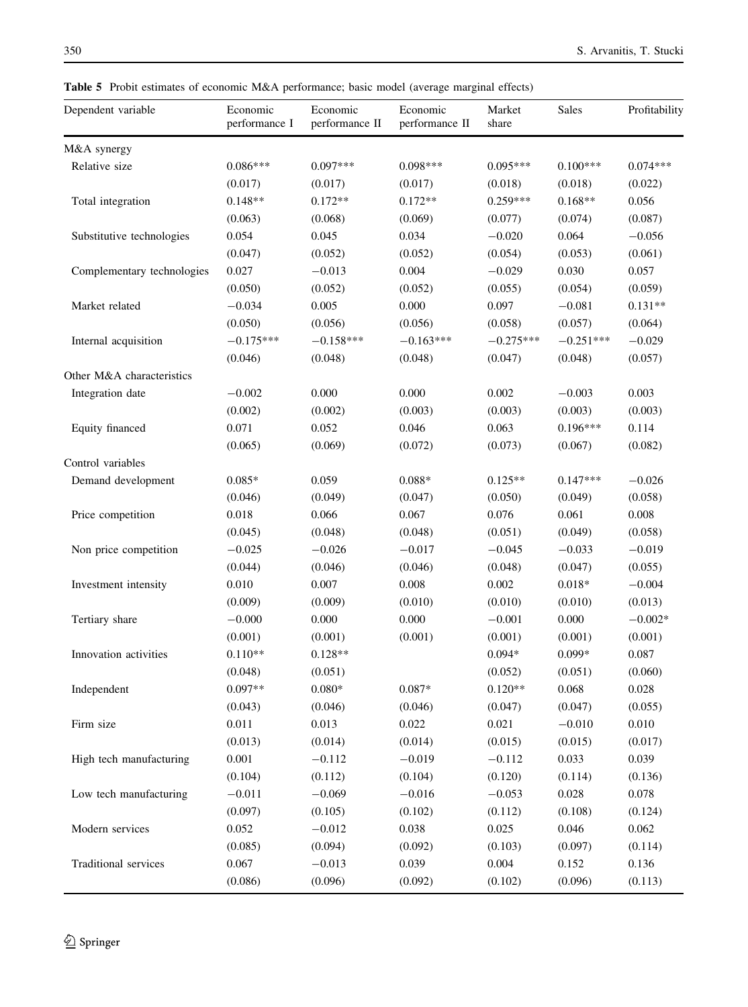Table 5 Probit estimates of economic M&A performance; basic model (average marginal effects)

| Dependent variable         | Economic<br>performance I | Economic<br>performance II | Economic<br>performance II | Market<br>share | Sales       | Profitability |
|----------------------------|---------------------------|----------------------------|----------------------------|-----------------|-------------|---------------|
| M&A synergy                |                           |                            |                            |                 |             |               |
| Relative size              | $0.086***$                | $0.097***$                 | $0.098***$                 | $0.095***$      | $0.100***$  | $0.074***$    |
|                            | (0.017)                   | (0.017)                    | (0.017)                    | (0.018)         | (0.018)     | (0.022)       |
| Total integration          | $0.148**$                 | $0.172**$                  | $0.172**$                  | $0.259***$      | $0.168**$   | 0.056         |
|                            | (0.063)                   | (0.068)                    | (0.069)                    | (0.077)         | (0.074)     | (0.087)       |
| Substitutive technologies  | 0.054                     | 0.045                      | 0.034                      | $-0.020$        | 0.064       | $-0.056$      |
|                            | (0.047)                   | (0.052)                    | (0.052)                    | (0.054)         | (0.053)     | (0.061)       |
| Complementary technologies | 0.027                     | $-0.013$                   | 0.004                      | $-0.029$        | 0.030       | 0.057         |
|                            | (0.050)                   | (0.052)                    | (0.052)                    | (0.055)         | (0.054)     | (0.059)       |
| Market related             | $-0.034$                  | 0.005                      | 0.000                      | 0.097           | $-0.081$    | $0.131**$     |
|                            | (0.050)                   | (0.056)                    | (0.056)                    | (0.058)         | (0.057)     | (0.064)       |
| Internal acquisition       | $-0.175***$               | $-0.158***$                | $-0.163***$                | $-0.275***$     | $-0.251***$ | $-0.029$      |
|                            | (0.046)                   | (0.048)                    | (0.048)                    | (0.047)         | (0.048)     | (0.057)       |
| Other M&A characteristics  |                           |                            |                            |                 |             |               |
| Integration date           | $-0.002$                  | 0.000                      | 0.000                      | 0.002           | $-0.003$    | 0.003         |
|                            | (0.002)                   | (0.002)                    | (0.003)                    | (0.003)         | (0.003)     | (0.003)       |
| Equity financed            | 0.071                     | 0.052                      | 0.046                      | 0.063           | $0.196***$  | 0.114         |
|                            | (0.065)                   | (0.069)                    | (0.072)                    | (0.073)         | (0.067)     | (0.082)       |
| Control variables          |                           |                            |                            |                 |             |               |
| Demand development         | $0.085*$                  | 0.059                      | $0.088*$                   | $0.125**$       | $0.147***$  | $-0.026$      |
|                            | (0.046)                   | (0.049)                    | (0.047)                    | (0.050)         | (0.049)     | (0.058)       |
| Price competition          | 0.018                     | 0.066                      | 0.067                      | 0.076           | 0.061       | 0.008         |
|                            | (0.045)                   | (0.048)                    | (0.048)                    | (0.051)         | (0.049)     | (0.058)       |
| Non price competition      | $-0.025$                  | $-0.026$                   | $-0.017$                   | $-0.045$        | $-0.033$    | $-0.019$      |
|                            | (0.044)                   | (0.046)                    | (0.046)                    | (0.048)         | (0.047)     | (0.055)       |
| Investment intensity       | 0.010                     | 0.007                      | 0.008                      | 0.002           | $0.018*$    | $-0.004$      |
|                            | (0.009)                   | (0.009)                    | (0.010)                    | (0.010)         | (0.010)     | (0.013)       |
| Tertiary share             | $-0.000$                  | 0.000                      | 0.000                      | $-0.001$        | 0.000       | $-0.002*$     |
|                            | (0.001)                   | (0.001)                    | (0.001)                    | (0.001)         | (0.001)     | (0.001)       |
| Innovation activities      | $0.110**$                 | $0.128**$                  |                            | $0.094*$        | $0.099*$    | 0.087         |
|                            | (0.048)                   | (0.051)                    |                            | (0.052)         | (0.051)     | (0.060)       |
| Independent                | $0.097**$                 | $0.080*$                   | $0.087*$                   | $0.120**$       | 0.068       | 0.028         |
|                            | (0.043)                   | (0.046)                    | (0.046)                    | (0.047)         | (0.047)     | (0.055)       |
| Firm size                  | 0.011                     | 0.013                      | 0.022                      | 0.021           | $-0.010$    | 0.010         |
|                            | (0.013)                   | (0.014)                    | (0.014)                    | (0.015)         | (0.015)     | (0.017)       |
| High tech manufacturing    | 0.001                     | $-0.112$                   | $-0.019$                   | $-0.112$        | 0.033       | 0.039         |
|                            | (0.104)                   | (0.112)                    | (0.104)                    | (0.120)         | (0.114)     | (0.136)       |
| Low tech manufacturing     | $-0.011$                  | $-0.069$                   | $-0.016$                   | $-0.053$        | 0.028       | 0.078         |
|                            | (0.097)                   | (0.105)                    | (0.102)                    | (0.112)         | (0.108)     | (0.124)       |
| Modern services            | 0.052                     | $-0.012$                   | 0.038                      | 0.025           | 0.046       | 0.062         |
|                            | (0.085)                   | (0.094)                    | (0.092)                    | (0.103)         | (0.097)     | (0.114)       |
| Traditional services       | 0.067                     | $-0.013$                   | 0.039                      | 0.004           | 0.152       | 0.136         |
|                            | (0.086)                   | (0.096)                    | (0.092)                    | (0.102)         | (0.096)     | (0.113)       |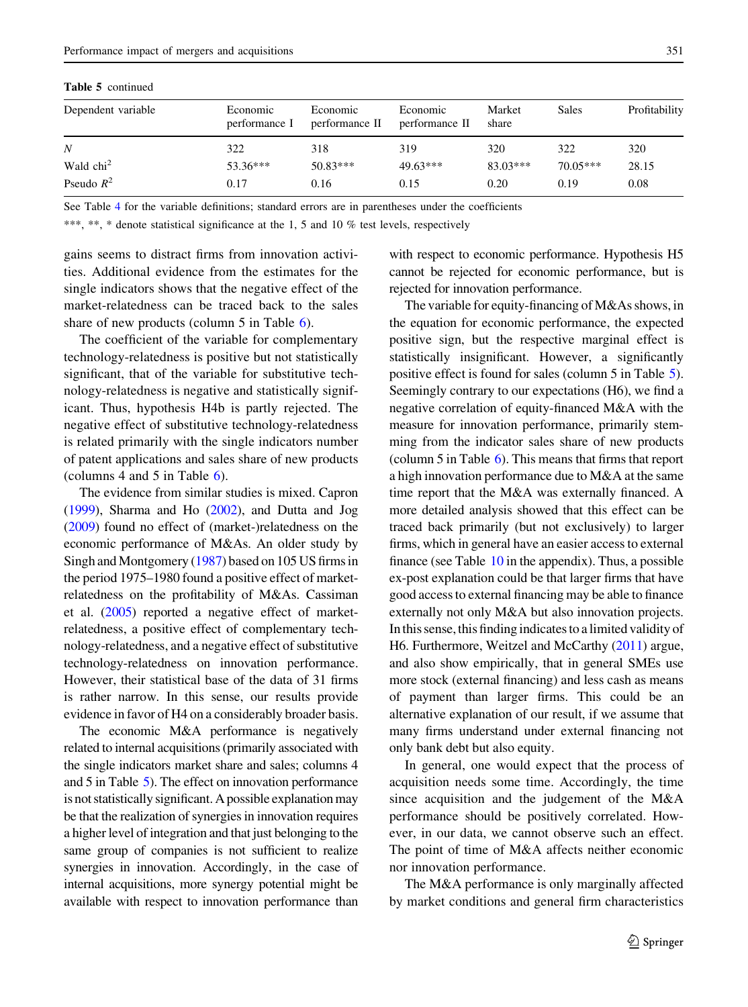Table 5 continued

| Dependent variable  | Economic<br>performance I | Economic<br>performance II | Economic<br>performance II | Market<br>share | Sales      | Profitability |
|---------------------|---------------------------|----------------------------|----------------------------|-----------------|------------|---------------|
| N                   | 322                       | 318                        | 319                        | 320             | 322        | 320           |
| Wald $\text{chi}^2$ | $53.36***$                | $50.83***$                 | $49.63***$                 | $83.03***$      | $70.05***$ | 28.15         |
| Pseudo $R^2$        | 0.17                      | 0.16                       | 0.15                       | 0.20            | 0.19       | 0.08          |

See Table 4 for the variable definitions; standard errors are in parentheses under the coefficients

\*\*\*, \*\*, \* denote statistical significance at the 1, 5 and 10 % test levels, respectively

gains seems to distract firms from innovation activities. Additional evidence from the estimates for the single indicators shows that the negative effect of the market-relatedness can be traced back to the sales share of new products (column 5 in Table 6).

The coefficient of the variable for complementary technology-relatedness is positive but not statistically significant, that of the variable for substitutive technology-relatedness is negative and statistically significant. Thus, hypothesis H4b is partly rejected. The negative effect of substitutive technology-relatedness is related primarily with the single indicators number of patent applications and sales share of new products (columns 4 and 5 in Table 6).

The evidence from similar studies is mixed. Capron (1999), Sharma and Ho (2002), and Dutta and Jog (2009) found no effect of (market-)relatedness on the economic performance of M&As. An older study by Singh and Montgomery (1987) based on 105 US firms in the period 1975–1980 found a positive effect of marketrelatedness on the profitability of M&As. Cassiman et al. (2005) reported a negative effect of marketrelatedness, a positive effect of complementary technology-relatedness, and a negative effect of substitutive technology-relatedness on innovation performance. However, their statistical base of the data of 31 firms is rather narrow. In this sense, our results provide evidence in favor of H4 on a considerably broader basis.

The economic M&A performance is negatively related to internal acquisitions (primarily associated with the single indicators market share and sales; columns 4 and 5 in Table 5). The effect on innovation performance is not statistically significant. A possible explanation may be that the realization of synergies in innovation requires a higher level of integration and that just belonging to the same group of companies is not sufficient to realize synergies in innovation. Accordingly, in the case of internal acquisitions, more synergy potential might be available with respect to innovation performance than with respect to economic performance. Hypothesis H5 cannot be rejected for economic performance, but is rejected for innovation performance.

The variable for equity-financing of M&As shows, in the equation for economic performance, the expected positive sign, but the respective marginal effect is statistically insignificant. However, a significantly positive effect is found for sales (column 5 in Table 5). Seemingly contrary to our expectations (H6), we find a negative correlation of equity-financed M&A with the measure for innovation performance, primarily stemming from the indicator sales share of new products (column 5 in Table 6). This means that firms that report a high innovation performance due to M&A at the same time report that the M&A was externally financed. A more detailed analysis showed that this effect can be traced back primarily (but not exclusively) to larger firms, which in general have an easier access to external finance (see Table  $10$  in the appendix). Thus, a possible ex-post explanation could be that larger firms that have good access to external financing may be able to finance externally not only M&A but also innovation projects. In this sense, this finding indicates to a limited validity of H6. Furthermore, Weitzel and McCarthy (2011) argue, and also show empirically, that in general SMEs use more stock (external financing) and less cash as means of payment than larger firms. This could be an alternative explanation of our result, if we assume that many firms understand under external financing not only bank debt but also equity.

In general, one would expect that the process of acquisition needs some time. Accordingly, the time since acquisition and the judgement of the M&A performance should be positively correlated. However, in our data, we cannot observe such an effect. The point of time of M&A affects neither economic nor innovation performance.

The M&A performance is only marginally affected by market conditions and general firm characteristics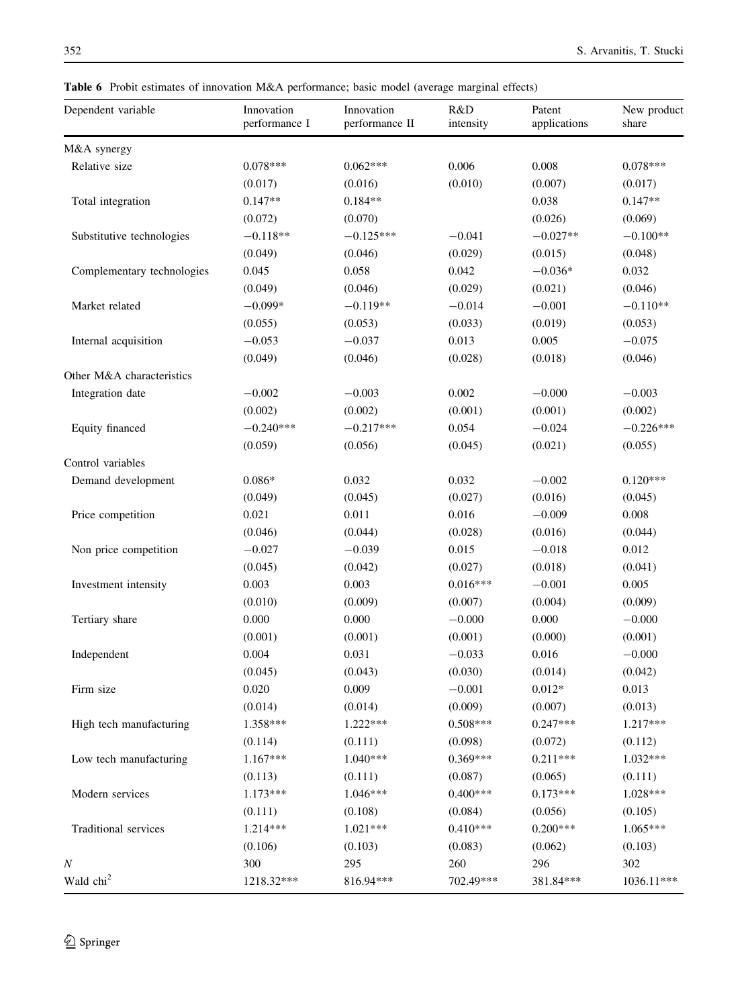Table 6 Probit estimates of innovation M&A performance; basic model (average marginal effects)

| Dependent variable         | Innovation<br>performance I | Innovation<br>performance II | R&D<br>intensity | Patent<br>applications | New product<br>share |
|----------------------------|-----------------------------|------------------------------|------------------|------------------------|----------------------|
| M&A synergy                |                             |                              |                  |                        |                      |
| Relative size              | $0.078***$                  | $0.062***$                   | 0.006            | 0.008                  | $0.078***$           |
|                            | (0.017)                     | (0.016)                      | (0.010)          | (0.007)                | (0.017)              |
| Total integration          | $0.147**$                   | $0.184**$                    |                  | 0.038                  | $0.147**$            |
|                            | (0.072)                     | (0.070)                      |                  | (0.026)                | (0.069)              |
| Substitutive technologies  | $-0.118**$                  | $-0.125***$                  | $-0.041$         | $-0.027**$             | $-0.100**$           |
|                            | (0.049)                     | (0.046)                      | (0.029)          | (0.015)                | (0.048)              |
| Complementary technologies | 0.045                       | 0.058                        | 0.042            | $-0.036*$              | 0.032                |
|                            | (0.049)                     | (0.046)                      | (0.029)          | (0.021)                | (0.046)              |
| Market related             | $-0.099*$                   | $-0.119**$                   | $-0.014$         | $-0.001$               | $-0.110**$           |
|                            | (0.055)                     | (0.053)                      | (0.033)          | (0.019)                | (0.053)              |
| Internal acquisition       | $-0.053$                    | $-0.037$                     | 0.013            | 0.005                  | $-0.075$             |
|                            | (0.049)                     | (0.046)                      | (0.028)          | (0.018)                | (0.046)              |
| Other M&A characteristics  |                             |                              |                  |                        |                      |
| Integration date           | $-0.002$                    | $-0.003$                     | 0.002            | $-0.000$               | $-0.003$             |
|                            | (0.002)                     | (0.002)                      | (0.001)          | (0.001)                | (0.002)              |
| Equity financed            | $-0.240***$                 | $-0.217***$                  | 0.054            | $-0.024$               | $-0.226***$          |
|                            | (0.059)                     | (0.056)                      | (0.045)          | (0.021)                | (0.055)              |
| Control variables          |                             |                              |                  |                        |                      |
| Demand development         | $0.086*$                    | 0.032                        | 0.032            | $-0.002$               | $0.120***$           |
|                            | (0.049)                     | (0.045)                      | (0.027)          | (0.016)                | (0.045)              |
| Price competition          | 0.021                       | 0.011                        | 0.016            | $-0.009$               | 0.008                |
|                            | (0.046)                     | (0.044)                      | (0.028)          | (0.016)                | (0.044)              |
| Non price competition      | $-0.027$                    | $-0.039$                     | 0.015            | $-0.018$               | 0.012                |
|                            | (0.045)                     | (0.042)                      | (0.027)          | (0.018)                | (0.041)              |
| Investment intensity       | 0.003                       | 0.003                        | $0.016***$       | $-0.001$               | 0.005                |
|                            | (0.010)                     | (0.009)                      | (0.007)          | (0.004)                | (0.009)              |
| Tertiary share             | 0.000                       | 0.000                        | $-0.000$         | 0.000                  | $-0.000$             |
|                            | (0.001)                     | (0.001)                      | (0.001)          | (0.000)                | (0.001)              |
| Independent                | 0.004                       | 0.031                        | $-0.033$         | 0.016                  | $-0.000$             |
|                            | (0.045)                     | (0.043)                      | (0.030)          | (0.014)                | (0.042)              |
| Firm size                  | 0.020                       | 0.009                        | $-0.001$         | $0.012*$               | 0.013                |
|                            | (0.014)                     | (0.014)                      | (0.009)          | (0.007)                | (0.013)              |
| High tech manufacturing    | 1.358***                    | 1.222***                     | $0.508***$       | $0.247***$             | 1.217***             |
|                            | (0.114)                     | (0.111)                      | (0.098)          | (0.072)                | (0.112)              |
| Low tech manufacturing     | 1.167***                    | 1.040***                     | $0.369***$       | $0.211***$             | 1.032***             |
|                            | (0.113)                     | (0.111)                      | (0.087)          | (0.065)                | (0.111)              |
| Modern services            | $1.173***$                  | 1.046***                     | $0.400***$       | $0.173***$             | 1.028***             |
|                            | (0.111)                     | (0.108)                      | (0.084)          | (0.056)                | (0.105)              |
| Traditional services       | 1.214***                    | $1.021***$                   | $0.410***$       | $0.200***$             | 1.065***             |
|                            | (0.106)                     | (0.103)                      | (0.083)          | (0.062)                | (0.103)              |
| Ν                          | 300                         | 295                          | 260              | 296                    | 302                  |
| Wald chi <sup>2</sup>      | 1218.32***                  | 816.94***                    | 702.49***        | 381.84***              | 1036.11***           |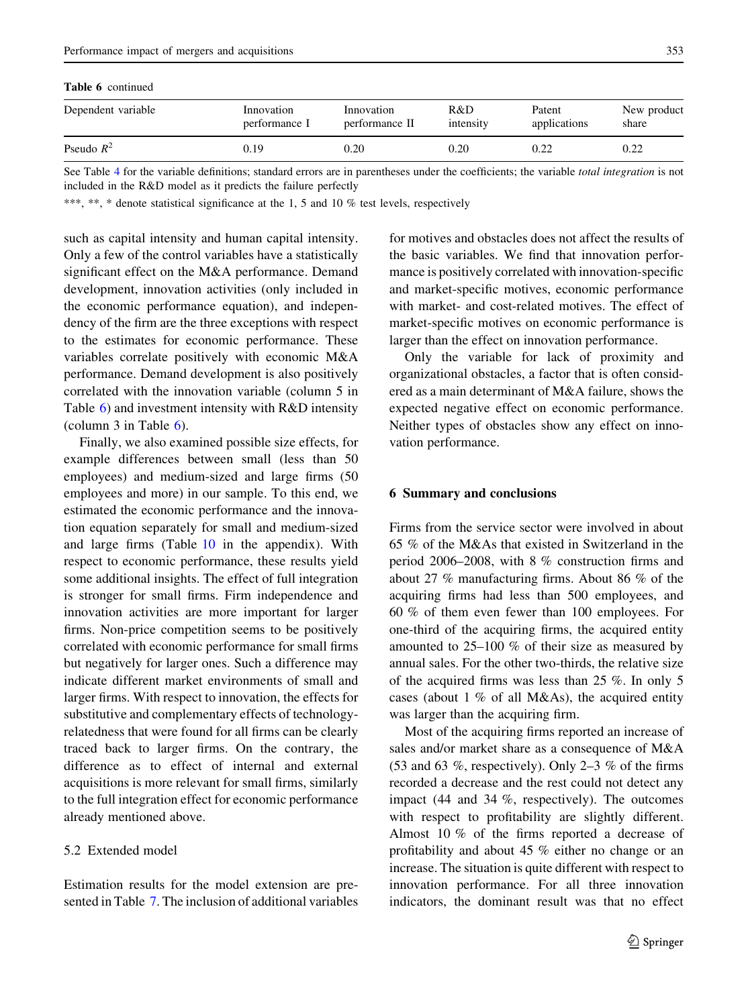| ł<br>$\sim$ | I<br>$\sim$ | I<br>$\sim$<br>۰. |
|-------------|-------------|-------------------|

| <b>Table 6</b> continued |                             |                              |                  |                        |                      |
|--------------------------|-----------------------------|------------------------------|------------------|------------------------|----------------------|
| Dependent variable       | Innovation<br>performance I | Innovation<br>performance II | R&D<br>intensity | Patent<br>applications | New product<br>share |
| Pseudo $R^2$             | 0.19                        | 0.20                         | 0.20             | 0.22                   | 0.22                 |

See Table 4 for the variable definitions; standard errors are in parentheses under the coefficients; the variable total integration is not included in the R&D model as it predicts the failure perfectly

\*\*\*, \*\*, \* denote statistical significance at the 1, 5 and 10 % test levels, respectively

such as capital intensity and human capital intensity. Only a few of the control variables have a statistically significant effect on the M&A performance. Demand development, innovation activities (only included in the economic performance equation), and independency of the firm are the three exceptions with respect to the estimates for economic performance. These variables correlate positively with economic M&A performance. Demand development is also positively correlated with the innovation variable (column 5 in Table 6) and investment intensity with R&D intensity (column 3 in Table 6).

Finally, we also examined possible size effects, for example differences between small (less than 50 employees) and medium-sized and large firms (50 employees and more) in our sample. To this end, we estimated the economic performance and the innovation equation separately for small and medium-sized and large firms (Table 10 in the appendix). With respect to economic performance, these results yield some additional insights. The effect of full integration is stronger for small firms. Firm independence and innovation activities are more important for larger firms. Non-price competition seems to be positively correlated with economic performance for small firms but negatively for larger ones. Such a difference may indicate different market environments of small and larger firms. With respect to innovation, the effects for substitutive and complementary effects of technologyrelatedness that were found for all firms can be clearly traced back to larger firms. On the contrary, the difference as to effect of internal and external acquisitions is more relevant for small firms, similarly to the full integration effect for economic performance already mentioned above.

# 5.2 Extended model

Estimation results for the model extension are presented in Table 7. The inclusion of additional variables

for motives and obstacles does not affect the results of the basic variables. We find that innovation performance is positively correlated with innovation-specific and market-specific motives, economic performance with market- and cost-related motives. The effect of market-specific motives on economic performance is larger than the effect on innovation performance.

Only the variable for lack of proximity and organizational obstacles, a factor that is often considered as a main determinant of M&A failure, shows the expected negative effect on economic performance. Neither types of obstacles show any effect on innovation performance.

## 6 Summary and conclusions

Firms from the service sector were involved in about 65 % of the M&As that existed in Switzerland in the period 2006–2008, with 8 % construction firms and about 27 % manufacturing firms. About 86 % of the acquiring firms had less than 500 employees, and 60 % of them even fewer than 100 employees. For one-third of the acquiring firms, the acquired entity amounted to 25–100 % of their size as measured by annual sales. For the other two-thirds, the relative size of the acquired firms was less than 25 %. In only 5 cases (about  $1\%$  of all M&As), the acquired entity was larger than the acquiring firm.

Most of the acquiring firms reported an increase of sales and/or market share as a consequence of M&A (53 and 63 %, respectively). Only 2–3 % of the firms recorded a decrease and the rest could not detect any impact (44 and 34 %, respectively). The outcomes with respect to profitability are slightly different. Almost 10 % of the firms reported a decrease of profitability and about 45 % either no change or an increase. The situation is quite different with respect to innovation performance. For all three innovation indicators, the dominant result was that no effect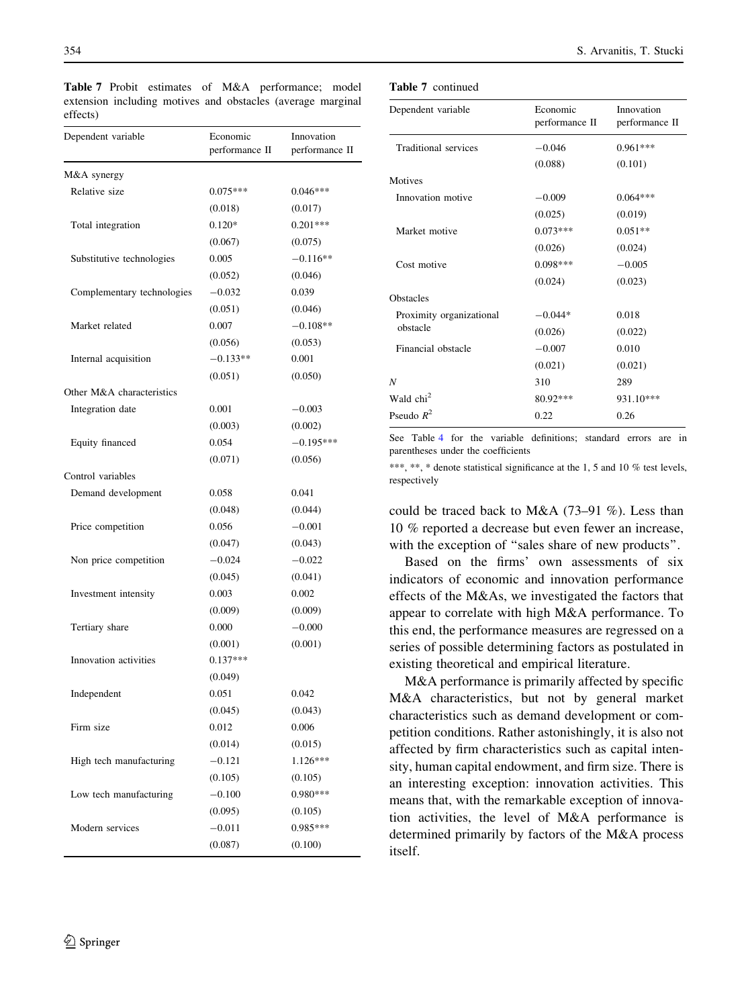| Dependent variable         | Economic<br>performance II | Innovation<br>performance II |
|----------------------------|----------------------------|------------------------------|
| M&A synergy                |                            |                              |
| Relative size              | $0.075***$                 | $0.046***$                   |
|                            | (0.018)                    | (0.017)                      |
| Total integration          | $0.120*$                   | $0.201***$                   |
|                            | (0.067)                    | (0.075)                      |
| Substitutive technologies  | 0.005                      | $-0.116**$                   |
|                            | (0.052)                    | (0.046)                      |
| Complementary technologies | $-0.032$                   | 0.039                        |
|                            | (0.051)                    | (0.046)                      |
| Market related             | 0.007                      | $-0.108**$                   |
|                            | (0.056)                    | (0.053)                      |
| Internal acquisition       | $-0.133**$                 | 0.001                        |
|                            | (0.051)                    | (0.050)                      |
| Other M&A characteristics  |                            |                              |
| Integration date           | 0.001                      | $-0.003$                     |
|                            | (0.003)                    | (0.002)                      |
| Equity financed            | 0.054                      | $-0.195***$                  |
|                            | (0.071)                    | (0.056)                      |
| Control variables          |                            |                              |
| Demand development         | 0.058                      | 0.041                        |
|                            | (0.048)                    | (0.044)                      |
| Price competition          | 0.056                      | $-0.001$                     |
|                            | (0.047)                    | (0.043)                      |
| Non price competition      | $-0.024$                   | $-0.022$                     |
|                            | (0.045)                    | (0.041)                      |
| Investment intensity       | 0.003                      | 0.002                        |
|                            | (0.009)                    | (0.009)                      |
| Tertiary share             | 0.000                      | $-0.000$                     |
|                            | (0.001)                    | (0.001)                      |
| Innovation activities      | $0.137***$                 |                              |
|                            | (0.049)                    |                              |
| Independent                | 0.051                      | 0.042                        |
|                            | (0.045)                    | (0.043)                      |
| Firm size                  | 0.012                      | 0.006                        |
|                            | (0.014)                    | (0.015)                      |
| High tech manufacturing    | $-0.121$                   | 1.126***                     |
|                            | (0.105)                    | (0.105)                      |
| Low tech manufacturing     | $-0.100$                   | $0.980***$                   |
|                            | (0.095)                    | (0.105)                      |
| Modern services            | $-0.011$                   | 0.985***                     |
|                            | (0.087)                    | (0.100)                      |

Table 7 Probit estimates of M&A performance; model extension including motives and obstacles (average marginal effects)

Table 7 continued

| Dependent variable       | Economic<br>performance II | Innovation<br>performance II |
|--------------------------|----------------------------|------------------------------|
| Traditional services     | $-0.046$                   | $0.961***$                   |
|                          | (0.088)                    | (0.101)                      |
| <b>Motives</b>           |                            |                              |
| Innovation motive        | $-0.009$                   | $0.064***$                   |
|                          | (0.025)                    | (0.019)                      |
| Market motive            | $0.073***$                 | $0.051**$                    |
|                          | (0.026)                    | (0.024)                      |
| Cost motive              | $0.098***$                 | $-0.005$                     |
|                          | (0.024)                    | (0.023)                      |
| <b>Obstacles</b>         |                            |                              |
| Proximity organizational | $-0.044*$                  | 0.018                        |
| obstacle                 | (0.026)                    | (0.022)                      |
| Financial obstacle       | $-0.007$                   | 0.010                        |
|                          | (0.021)                    | (0.021)                      |
| N                        | 310                        | 289                          |
| Wald chi <sup>2</sup>    | 80.92***                   | 931.10***                    |
| Pseudo $R^2$             | 0.22                       | 0.26                         |

See Table 4 for the variable definitions; standard errors are in parentheses under the coefficients

\*\*\*, \*\*, \* denote statistical significance at the 1, 5 and 10 % test levels, respectively

could be traced back to M&A (73–91 %). Less than 10 % reported a decrease but even fewer an increase, with the exception of "sales share of new products".

Based on the firms' own assessments of six indicators of economic and innovation performance effects of the M&As, we investigated the factors that appear to correlate with high M&A performance. To this end, the performance measures are regressed on a series of possible determining factors as postulated in existing theoretical and empirical literature.

M&A performance is primarily affected by specific M&A characteristics, but not by general market characteristics such as demand development or competition conditions. Rather astonishingly, it is also not affected by firm characteristics such as capital intensity, human capital endowment, and firm size. There is an interesting exception: innovation activities. This means that, with the remarkable exception of innovation activities, the level of M&A performance is determined primarily by factors of the M&A process itself.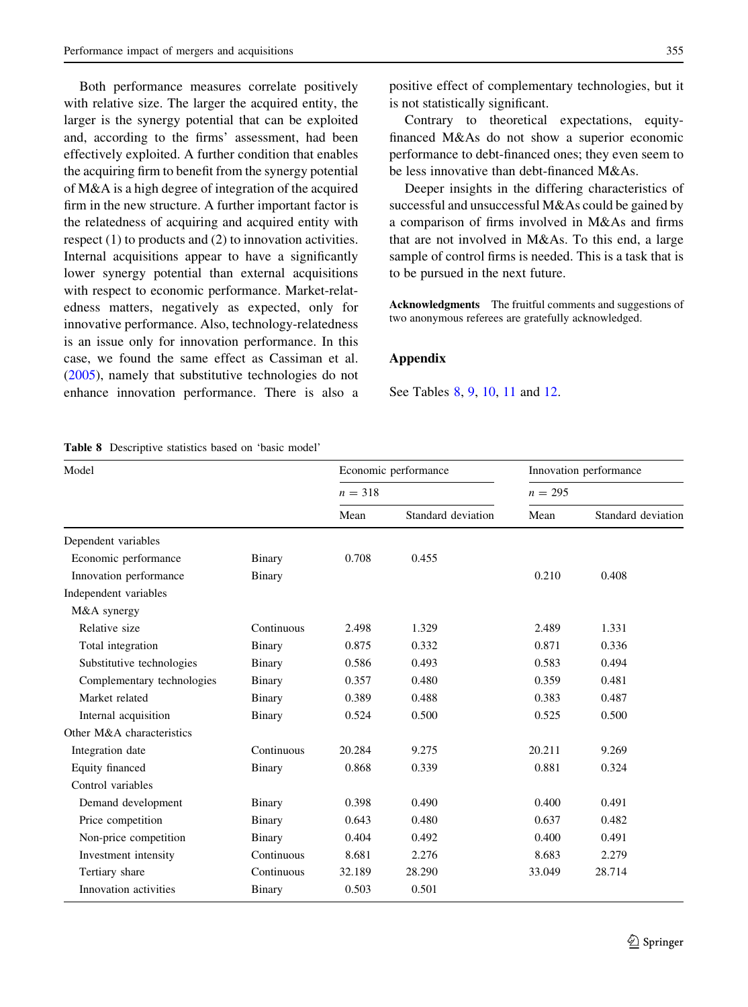Both performance measures correlate positively with relative size. The larger the acquired entity, the larger is the synergy potential that can be exploited and, according to the firms' assessment, had been effectively exploited. A further condition that enables the acquiring firm to benefit from the synergy potential of M&A is a high degree of integration of the acquired firm in the new structure. A further important factor is the relatedness of acquiring and acquired entity with respect (1) to products and (2) to innovation activities. Internal acquisitions appear to have a significantly lower synergy potential than external acquisitions with respect to economic performance. Market-relatedness matters, negatively as expected, only for innovative performance. Also, technology-relatedness is an issue only for innovation performance. In this case, we found the same effect as Cassiman et al. (2005), namely that substitutive technologies do not enhance innovation performance. There is also a positive effect of complementary technologies, but it is not statistically significant.

Contrary to theoretical expectations, equityfinanced M&As do not show a superior economic performance to debt-financed ones; they even seem to be less innovative than debt-financed M&As.

Deeper insights in the differing characteristics of successful and unsuccessful M&As could be gained by a comparison of firms involved in M&As and firms that are not involved in M&As. To this end, a large sample of control firms is needed. This is a task that is to be pursued in the next future.

Acknowledgments The fruitful comments and suggestions of two anonymous referees are gratefully acknowledged.

#### Appendix

See Tables 8, 9, 10, 11 and 12.

|  | <b>Table 8</b> Descriptive statistics based on 'basic model' |  |  |  |  |  |
|--|--------------------------------------------------------------|--|--|--|--|--|
|--|--------------------------------------------------------------|--|--|--|--|--|

| Model                      |               |           | Economic performance | Innovation performance |                    |  |
|----------------------------|---------------|-----------|----------------------|------------------------|--------------------|--|
|                            |               | $n = 318$ |                      | $n = 295$              |                    |  |
|                            |               | Mean      | Standard deviation   | Mean                   | Standard deviation |  |
| Dependent variables        |               |           |                      |                        |                    |  |
| Economic performance       | Binary        | 0.708     | 0.455                |                        |                    |  |
| Innovation performance     | Binary        |           |                      | 0.210                  | 0.408              |  |
| Independent variables      |               |           |                      |                        |                    |  |
| M&A synergy                |               |           |                      |                        |                    |  |
| Relative size              | Continuous    | 2.498     | 1.329                | 2.489                  | 1.331              |  |
| Total integration          | <b>Binary</b> | 0.875     | 0.332                | 0.871                  | 0.336              |  |
| Substitutive technologies  | Binary        | 0.586     | 0.493                | 0.583                  | 0.494              |  |
| Complementary technologies | Binary        | 0.357     | 0.480                | 0.359                  | 0.481              |  |
| Market related             | Binary        | 0.389     | 0.488                | 0.383                  | 0.487              |  |
| Internal acquisition       | Binary        | 0.524     | 0.500                | 0.525                  | 0.500              |  |
| Other M&A characteristics  |               |           |                      |                        |                    |  |
| Integration date           | Continuous    | 20.284    | 9.275                | 20.211                 | 9.269              |  |
| Equity financed            | Binary        | 0.868     | 0.339                | 0.881                  | 0.324              |  |
| Control variables          |               |           |                      |                        |                    |  |
| Demand development         | Binary        | 0.398     | 0.490                | 0.400                  | 0.491              |  |
| Price competition          | Binary        | 0.643     | 0.480                | 0.637                  | 0.482              |  |
| Non-price competition      | Binary        | 0.404     | 0.492                | 0.400                  | 0.491              |  |
| Investment intensity       | Continuous    | 8.681     | 2.276                | 8.683                  | 2.279              |  |
| Tertiary share             | Continuous    | 32.189    | 28.290               | 33.049                 | 28.714             |  |
| Innovation activities      | Binary        | 0.503     | 0.501                |                        |                    |  |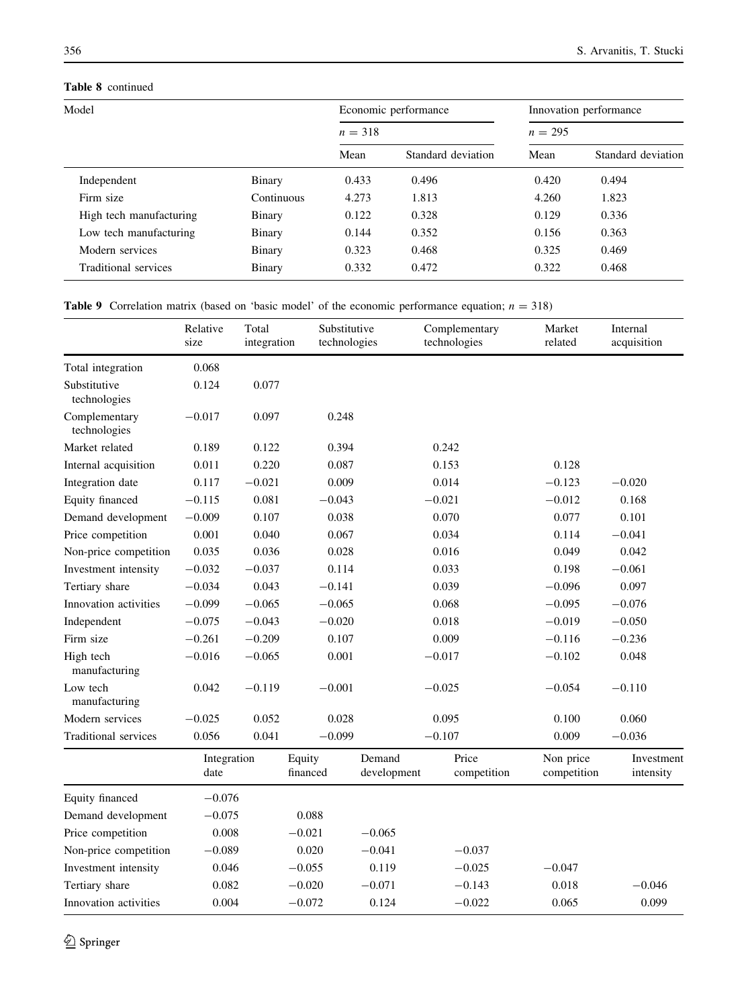# Table 8 continued

|            |           |                    | Innovation performance<br>$n = 295$ |                    |  |
|------------|-----------|--------------------|-------------------------------------|--------------------|--|
|            | $n = 318$ |                    |                                     |                    |  |
|            | Mean      | Standard deviation | Mean                                | Standard deviation |  |
| Binary     | 0.433     | 0.496              | 0.420                               | 0.494              |  |
| Continuous | 4.273     | 1.813              | 4.260                               | 1.823              |  |
| Binary     | 0.122     | 0.328              | 0.129                               | 0.336              |  |
| Binary     | 0.144     | 0.352              | 0.156                               | 0.363              |  |
| Binary     | 0.323     | 0.468              | 0.325                               | 0.469              |  |
| Binary     | 0.332     | 0.472              | 0.322                               | 0.468              |  |
|            |           |                    | Economic performance                |                    |  |

**Table 9** Correlation matrix (based on 'basic model' of the economic performance equation;  $n = 318$ )

|                               | Relative<br>size    | Total<br>integration | Substitutive<br>technologies |                       |          | Complementary<br>technologies | Market<br>related        | Internal<br>acquisition |
|-------------------------------|---------------------|----------------------|------------------------------|-----------------------|----------|-------------------------------|--------------------------|-------------------------|
| Total integration             | 0.068               |                      |                              |                       |          |                               |                          |                         |
| Substitutive<br>technologies  | 0.124               | 0.077                |                              |                       |          |                               |                          |                         |
| Complementary<br>technologies | $-0.017$            | 0.097                | 0.248                        |                       |          |                               |                          |                         |
| Market related                | 0.189               | 0.122                | 0.394                        |                       | 0.242    |                               |                          |                         |
| Internal acquisition          | 0.011               | 0.220                | 0.087                        |                       | 0.153    |                               | 0.128                    |                         |
| Integration date              | 0.117               | $-0.021$             | 0.009                        |                       | 0.014    |                               | $-0.123$                 | $-0.020$                |
| Equity financed               | $-0.115$            | 0.081                | $-0.043$                     |                       | $-0.021$ |                               | $-0.012$                 | 0.168                   |
| Demand development            | $-0.009$            | 0.107                | 0.038                        |                       | 0.070    |                               | 0.077                    | 0.101                   |
| Price competition             | 0.001               | 0.040                | 0.067                        |                       | 0.034    |                               | 0.114                    | $-0.041$                |
| Non-price competition         | 0.035               | 0.036                | 0.028                        |                       | 0.016    |                               | 0.049                    | 0.042                   |
| Investment intensity          | $-0.032$            | $-0.037$             | 0.114                        |                       | 0.033    |                               | 0.198                    | $-0.061$                |
| Tertiary share                | $-0.034$            | 0.043                | $-0.141$                     |                       | 0.039    |                               | $-0.096$                 | 0.097                   |
| Innovation activities         | $-0.099$            | $-0.065$             | $-0.065$                     |                       | 0.068    |                               | $-0.095$                 | $-0.076$                |
| Independent                   | $-0.075$            | $-0.043$             | $-0.020$                     |                       | 0.018    |                               | $-0.019$                 | $-0.050$                |
| Firm size                     | $-0.261$            | $-0.209$             | 0.107                        |                       | 0.009    |                               | $-0.116$                 | $-0.236$                |
| High tech<br>manufacturing    | $-0.016$            | $-0.065$             | 0.001                        |                       | $-0.017$ |                               | $-0.102$                 | 0.048                   |
| Low tech<br>manufacturing     | 0.042               | $-0.119$             | $-0.001$                     |                       | $-0.025$ |                               | $-0.054$                 | $-0.110$                |
| Modern services               | $-0.025$            | 0.052                | 0.028                        |                       | 0.095    |                               | 0.100                    | 0.060                   |
| <b>Traditional services</b>   | 0.056               | 0.041                | $-0.099$                     |                       | $-0.107$ |                               | 0.009                    | $-0.036$                |
|                               | Integration<br>date |                      | Equity<br>financed           | Demand<br>development |          | Price<br>competition          | Non price<br>competition | Investment<br>intensity |
| Equity financed               | $-0.076$            |                      |                              |                       |          |                               |                          |                         |
| Demand development            | $-0.075$            |                      | 0.088                        |                       |          |                               |                          |                         |
| Price competition             | 0.008               |                      | $-0.021$                     | $-0.065$              |          |                               |                          |                         |
| Non-price competition         | $-0.089$            |                      | 0.020                        | $-0.041$              |          | $-0.037$                      |                          |                         |
| Investment intensity          | 0.046               |                      | $-0.055$                     | 0.119                 |          | $-0.025$                      | $-0.047$                 |                         |
| Tertiary share                | 0.082               |                      | $-0.020$                     | $-0.071$              |          | $-0.143$                      | 0.018                    | $-0.046$                |
| Innovation activities         | 0.004               |                      | $-0.072$                     | 0.124                 |          | $-0.022$                      | 0.065                    | 0.099                   |

 $\underline{\textcircled{\tiny 2}}$  Springer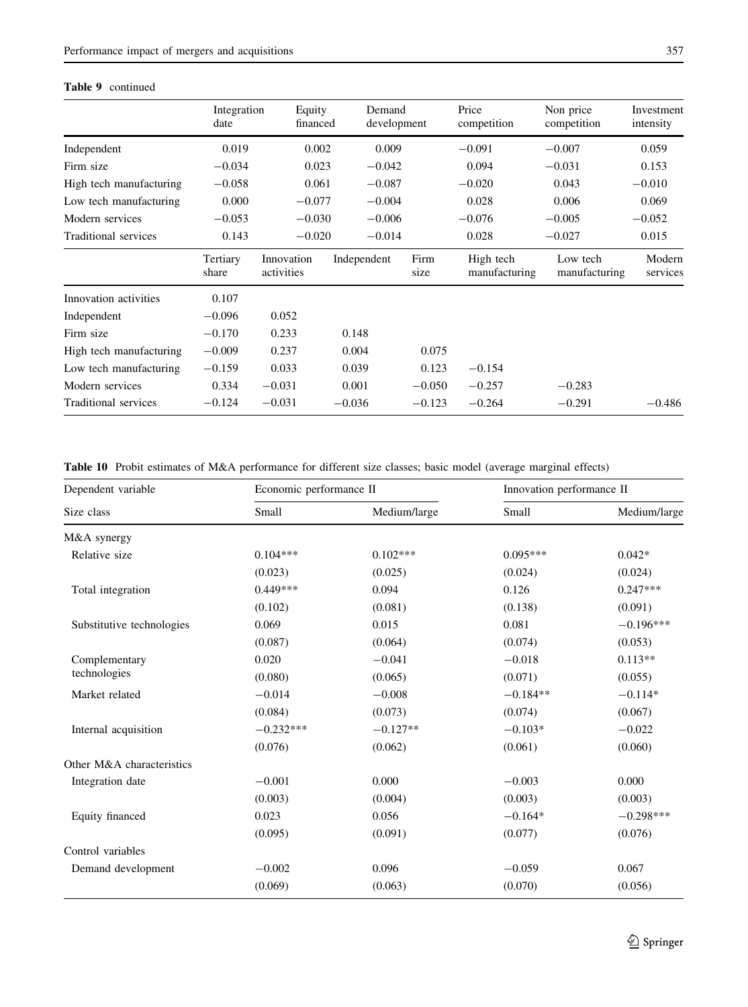## Table 9 continued

|                         | Integration<br>date | Equity<br>financed       | Demand<br>development |              | Price<br>competition       | Non price<br>competition  | Investment<br>intensity |
|-------------------------|---------------------|--------------------------|-----------------------|--------------|----------------------------|---------------------------|-------------------------|
| Independent             | 0.019               | 0.002                    | 0.009                 |              | $-0.091$                   | $-0.007$                  | 0.059                   |
| Firm size               | $-0.034$            | 0.023                    | $-0.042$              |              | 0.094                      | $-0.031$                  | 0.153                   |
| High tech manufacturing | $-0.058$            | 0.061                    | $-0.087$              |              | $-0.020$                   | 0.043                     | $-0.010$                |
| Low tech manufacturing  | 0.000               | $-0.077$                 | $-0.004$              |              | 0.028                      | 0.006                     | 0.069                   |
| Modern services         | $-0.053$            | $-0.030$                 | $-0.006$              |              | $-0.076$                   | $-0.005$                  | $-0.052$                |
| Traditional services    | 0.143               | $-0.020$                 | $-0.014$              |              | 0.028                      | $-0.027$                  | 0.015                   |
|                         | Tertiary<br>share   | Innovation<br>activities | Independent           | Firm<br>size | High tech<br>manufacturing | Low tech<br>manufacturing | Modern<br>services      |
| Innovation activities   | 0.107               |                          |                       |              |                            |                           |                         |
| Independent             | $-0.096$            | 0.052                    |                       |              |                            |                           |                         |
| Firm size               | $-0.170$            | 0.233                    | 0.148                 |              |                            |                           |                         |
| High tech manufacturing | $-0.009$            | 0.237                    | 0.004                 | 0.075        |                            |                           |                         |
| Low tech manufacturing  | $-0.159$            | 0.033                    | 0.039                 | 0.123        | $-0.154$                   |                           |                         |
| Modern services         | 0.334               | $-0.031$                 | 0.001                 | $-0.050$     | $-0.257$                   | $-0.283$                  |                         |
| Traditional services    | $-0.124$            | $-0.031$                 | $-0.036$              | $-0.123$     | $-0.264$                   | $-0.291$                  | $-0.486$                |

Table 10 Probit estimates of M&A performance for different size classes; basic model (average marginal effects)

| Dependent variable        | Economic performance II |              | Innovation performance II |              |
|---------------------------|-------------------------|--------------|---------------------------|--------------|
| Size class                | Small                   | Medium/large | Small                     | Medium/large |
| M&A synergy               |                         |              |                           |              |
| Relative size             | $0.104***$              | $0.102***$   | $0.095***$                | $0.042*$     |
|                           | (0.023)                 | (0.025)      | (0.024)                   | (0.024)      |
| Total integration         | $0.449***$              | 0.094        | 0.126                     | $0.247***$   |
|                           | (0.102)                 | (0.081)      | (0.138)                   | (0.091)      |
| Substitutive technologies | 0.069                   | 0.015        | 0.081                     | $-0.196***$  |
|                           | (0.087)                 | (0.064)      | (0.074)                   | (0.053)      |
| Complementary             | 0.020                   | $-0.041$     | $-0.018$                  | $0.113**$    |
| technologies              | (0.080)                 | (0.065)      | (0.071)                   | (0.055)      |
| Market related            | $-0.014$                | $-0.008$     | $-0.184**$                | $-0.114*$    |
|                           | (0.084)                 | (0.073)      | (0.074)                   | (0.067)      |
| Internal acquisition      | $-0.232***$             | $-0.127**$   | $-0.103*$                 | $-0.022$     |
|                           | (0.076)                 | (0.062)      | (0.061)                   | (0.060)      |
| Other M&A characteristics |                         |              |                           |              |
| Integration date          | $-0.001$                | 0.000        | $-0.003$                  | 0.000        |
|                           | (0.003)                 | (0.004)      | (0.003)                   | (0.003)      |
| Equity financed           | 0.023                   | 0.056        | $-0.164*$                 | $-0.298***$  |
|                           | (0.095)                 | (0.091)      | (0.077)                   | (0.076)      |
| Control variables         |                         |              |                           |              |
| Demand development        | $-0.002$                | 0.096        | $-0.059$                  | 0.067        |
|                           | (0.069)                 | (0.063)      | (0.070)                   | (0.056)      |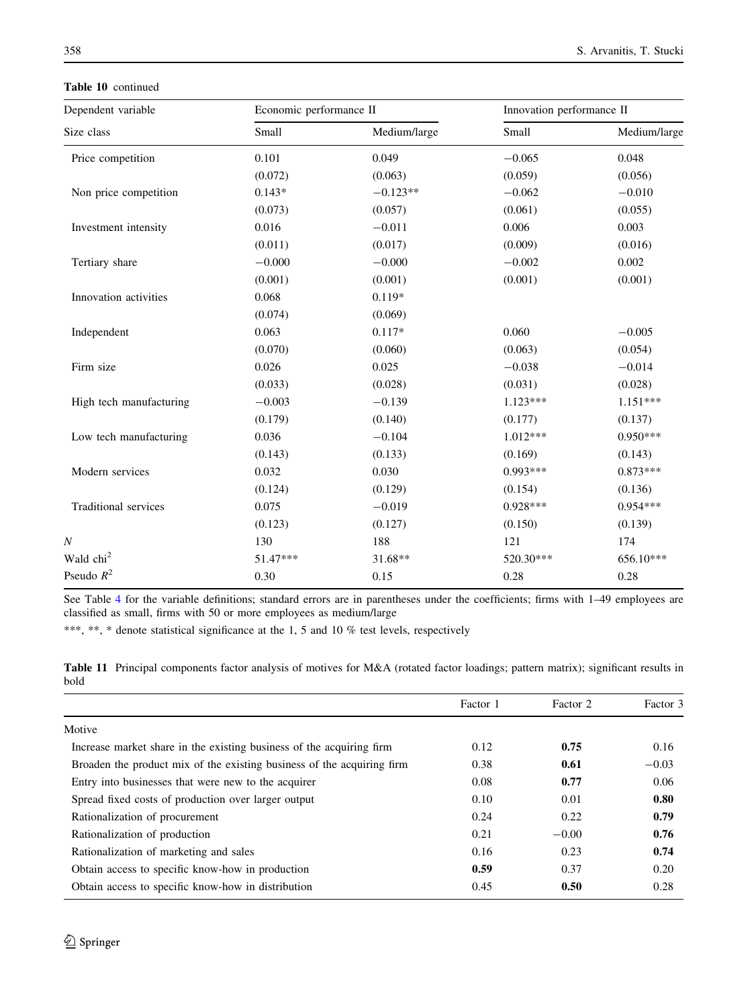Table 10 continued

| Dependent variable                                              | Economic performance II                                                                                                                                                                               |              | Innovation performance II |              |
|-----------------------------------------------------------------|-------------------------------------------------------------------------------------------------------------------------------------------------------------------------------------------------------|--------------|---------------------------|--------------|
| Size class                                                      | Small                                                                                                                                                                                                 | Medium/large | Small                     | Medium/large |
| Price competition                                               | 0.101                                                                                                                                                                                                 | 0.049        | $-0.065$                  | 0.048        |
|                                                                 | (0.072)                                                                                                                                                                                               | (0.063)      | (0.059)                   | (0.056)      |
| Non price competition                                           | $0.143*$                                                                                                                                                                                              | $-0.123**$   | $-0.062$                  | $-0.010$     |
| Investment intensity<br>Tertiary share<br>Innovation activities | (0.073)                                                                                                                                                                                               | (0.057)      | (0.061)                   | (0.055)      |
|                                                                 | 0.016                                                                                                                                                                                                 | $-0.011$     | 0.006                     | 0.003        |
|                                                                 | (0.011)                                                                                                                                                                                               | (0.017)      | (0.009)                   | (0.016)      |
|                                                                 | $-0.000$                                                                                                                                                                                              | $-0.000$     | $-0.002$                  | 0.002        |
|                                                                 | (0.001)                                                                                                                                                                                               | (0.001)      | (0.001)                   | (0.001)      |
|                                                                 | 0.068                                                                                                                                                                                                 | $0.119*$     |                           |              |
|                                                                 | (0.074)                                                                                                                                                                                               | (0.069)      |                           |              |
| Independent                                                     | 0.063                                                                                                                                                                                                 | $0.117*$     | 0.060                     | $-0.005$     |
|                                                                 | (0.070)                                                                                                                                                                                               | (0.060)      | (0.063)                   | (0.054)      |
| Firm size                                                       | 0.026                                                                                                                                                                                                 | 0.025        | $-0.038$                  | $-0.014$     |
|                                                                 | (0.033)                                                                                                                                                                                               | (0.028)      | (0.031)                   | (0.028)      |
| High tech manufacturing                                         | $-0.003$                                                                                                                                                                                              | $-0.139$     | $1.123***$                | $1.151***$   |
|                                                                 | (0.179)<br>(0.140)<br>0.036<br>$-0.104$<br>(0.143)<br>(0.133)<br>0.032<br>0.030<br>(0.124)<br>(0.129)<br>0.075<br>$-0.019$<br>(0.123)<br>(0.127)<br>130<br>188<br>51.47***<br>31.68**<br>0.30<br>0.15 |              | (0.177)                   | (0.137)      |
| Low tech manufacturing                                          |                                                                                                                                                                                                       |              | $1.012***$                | $0.950***$   |
|                                                                 |                                                                                                                                                                                                       |              | (0.169)                   | (0.143)      |
| Modern services                                                 |                                                                                                                                                                                                       |              | $0.993***$                | $0.873***$   |
|                                                                 |                                                                                                                                                                                                       |              | (0.154)                   | (0.136)      |
| Traditional services                                            |                                                                                                                                                                                                       |              | $0.928***$                | $0.954***$   |
|                                                                 |                                                                                                                                                                                                       |              | (0.150)                   | (0.139)      |
| N                                                               |                                                                                                                                                                                                       |              | 121                       | 174          |
| Wald chi <sup>2</sup>                                           |                                                                                                                                                                                                       |              | 520.30***                 | 656.10***    |
| Pseudo $R^2$                                                    |                                                                                                                                                                                                       |              | 0.28                      | 0.28         |
|                                                                 |                                                                                                                                                                                                       |              |                           |              |

See Table 4 for the variable definitions; standard errors are in parentheses under the coefficients; firms with 1-49 employees are classified as small, firms with 50 or more employees as medium/large

\*\*\*, \*\*, \* denote statistical significance at the 1, 5 and 10 % test levels, respectively

Table 11 Principal components factor analysis of motives for M&A (rotated factor loadings; pattern matrix); significant results in bold

|                                                                        | Factor 1 | Factor 2 | Factor 3 |
|------------------------------------------------------------------------|----------|----------|----------|
| Motive                                                                 |          |          |          |
| Increase market share in the existing business of the acquiring firm   | 0.12     | 0.75     | 0.16     |
| Broaden the product mix of the existing business of the acquiring firm | 0.38     | 0.61     | $-0.03$  |
| Entry into businesses that were new to the acquirer                    | 0.08     | 0.77     | 0.06     |
| Spread fixed costs of production over larger output                    | 0.10     | 0.01     | 0.80     |
| Rationalization of procurement                                         | 0.24     | 0.22     | 0.79     |
| Rationalization of production                                          | 0.21     | $-0.00$  | 0.76     |
| Rationalization of marketing and sales                                 | 0.16     | 0.23     | 0.74     |
| Obtain access to specific know-how in production                       | 0.59     | 0.37     | 0.20     |
| Obtain access to specific know-how in distribution                     | 0.45     | 0.50     | 0.28     |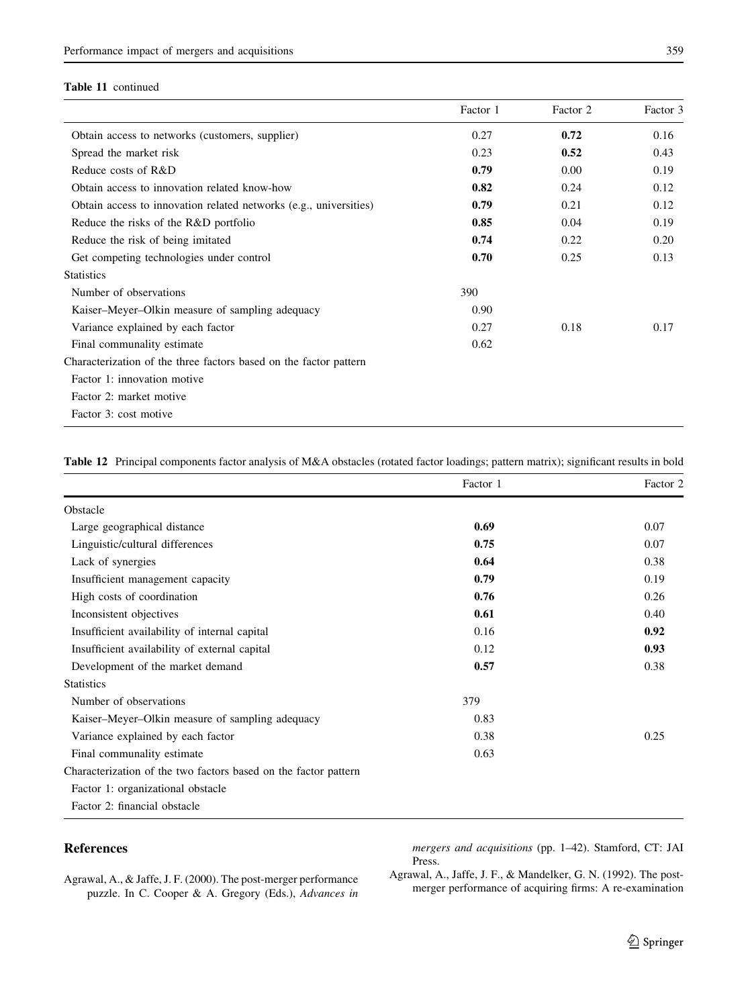## Table 11 continued

|                                                                   | Factor 1 | Factor 2 | Factor 3 |
|-------------------------------------------------------------------|----------|----------|----------|
| Obtain access to networks (customers, supplier)                   | 0.27     | 0.72     | 0.16     |
| Spread the market risk                                            | 0.23     | 0.52     | 0.43     |
| Reduce costs of R&D                                               | 0.79     | 0.00     | 0.19     |
| Obtain access to innovation related know-how                      | 0.82     | 0.24     | 0.12     |
| Obtain access to innovation related networks (e.g., universities) | 0.79     | 0.21     | 0.12     |
| Reduce the risks of the R&D portfolio                             | 0.85     | 0.04     | 0.19     |
| Reduce the risk of being imitated                                 | 0.74     | 0.22     | 0.20     |
| Get competing technologies under control                          | 0.70     | 0.25     | 0.13     |
| <b>Statistics</b>                                                 |          |          |          |
| Number of observations                                            | 390      |          |          |
| Kaiser–Meyer–Olkin measure of sampling adequacy                   | 0.90     |          |          |
| Variance explained by each factor                                 | 0.27     | 0.18     | 0.17     |
| Final communality estimate                                        | 0.62     |          |          |
| Characterization of the three factors based on the factor pattern |          |          |          |
| Factor 1: innovation motive                                       |          |          |          |
| Factor 2: market motive                                           |          |          |          |
| Factor 3: cost motive                                             |          |          |          |

Table 12 Principal components factor analysis of M&A obstacles (rotated factor loadings; pattern matrix); significant results in bold

|                                                                 | Factor 1 | Factor 2 |
|-----------------------------------------------------------------|----------|----------|
| Obstacle                                                        |          |          |
| Large geographical distance                                     | 0.69     | 0.07     |
| Linguistic/cultural differences                                 | 0.75     | 0.07     |
| Lack of synergies                                               | 0.64     | 0.38     |
| Insufficient management capacity                                | 0.79     | 0.19     |
| High costs of coordination                                      | 0.76     | 0.26     |
| Inconsistent objectives                                         | 0.61     | 0.40     |
| Insufficient availability of internal capital                   | 0.16     | 0.92     |
| Insufficient availability of external capital                   | 0.12     | 0.93     |
| Development of the market demand                                | 0.57     | 0.38     |
| <b>Statistics</b>                                               |          |          |
| Number of observations                                          | 379      |          |
| Kaiser–Meyer–Olkin measure of sampling adequacy                 | 0.83     |          |
| Variance explained by each factor                               | 0.38     | 0.25     |
| Final communality estimate                                      | 0.63     |          |
| Characterization of the two factors based on the factor pattern |          |          |
| Factor 1: organizational obstacle                               |          |          |
| Factor 2: financial obstacle                                    |          |          |

# References

mergers and acquisitions (pp. 1–42). Stamford, CT: JAI Press.

Agrawal, A., & Jaffe, J. F. (2000). The post-merger performance puzzle. In C. Cooper & A. Gregory (Eds.), Advances in Agrawal, A., Jaffe, J. F., & Mandelker, G. N. (1992). The postmerger performance of acquiring firms: A re-examination